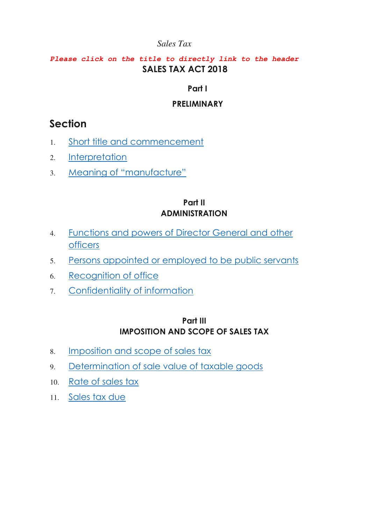#### *Please click on the title to directly link to the header* **SALES TAX ACT 2018**

#### **Part I**

#### **PRELIMINARY**

# **Section**

- 1. [Short title and commencement](#page-7-0)
- 2. [Interpretation](#page-8-0)
- 3. [Meaning of "manufacture"](#page-11-0)

#### **Part II ADMINISTRATION**

- 4. [Functions and powers of Director General and other](#page-12-0)  [officers](#page-12-0)
- 5. [Persons appointed or employed to be public servants](#page-12-1)
- 6. [Recognition of office](#page-12-2)
- 7. [Confidentiality of information](#page-13-0)

#### **Part III IMPOSITION AND SCOPE OF SALES TAX**

- 8. [Imposition and scope of sales tax](#page-15-0)
- 9. [Determination of sale value of taxable goods](#page-15-1)
- 10. [Rate of sales tax](#page-16-0)
- 11. Sales tax due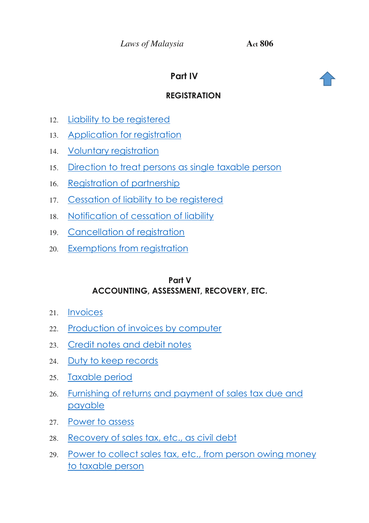# **Part IV**



# **REGISTRATION**

- 12. [Liability to be registered](#page-19-0)
- 13. [Application for registration](#page-20-0)
- 14. [Voluntary registration](#page-21-0)
- 15. [Direction to treat persons as single taxable person](#page-21-1)
- 16. [Registration of partnership](#page-24-0)
- 17. [Cessation of liability to be registered](#page-26-0)
- 18. [Notification of cessation of liability](#page-26-1)
- 19. [Cancellation of registration](#page-27-0)
- 20. [Exemptions from registration](#page-28-0)

#### **Part V ACCOUNTING, ASSESSMENT, RECOVERY, ETC.**

- 21. [Invoices](#page-28-1)
- 22. [Production of invoices by computer](#page-29-0)
- 23. [Credit notes and debit notes](#page-29-1)
- 24. [Duty to keep records](#page-29-2)
- 25. [Taxable period](#page-30-0)
- 26. [Furnishing of returns and payment of sales tax due and](#page-31-0)  [payable](#page-31-0)
- 27. [Power to assess](#page-34-0)
- 28. [Recovery of sales tax, etc., as civil debt](#page-36-0)
- 29. [Power to collect sales tax, etc., from person owing money](#page-38-0)  [to taxable person](#page-38-0)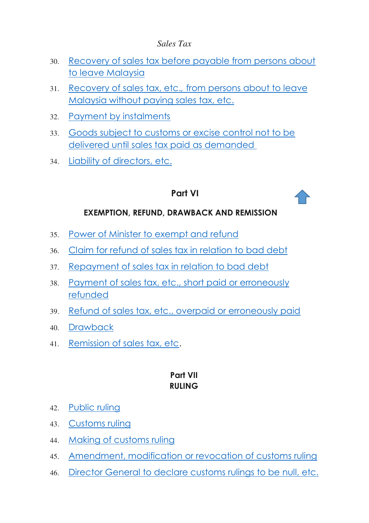- 30. [Recovery of sales tax before payable from persons about](#page-39-0)  [to leave Malaysia](#page-39-0)
- 31. Recovery of sales tax, etc.*,* [from persons about to leave](#page-39-0)  [Malaysia without paying sales tax, etc.](#page-39-0)
- 32. Payment by instalments
- 33. [Goods subject to customs or excise control not to be](#page-41-0)  [delivered until sales tax paid as demanded](#page-41-0)
- 34. [Liability of directors, etc.](#page-42-0)

# **Part VI**

#### **EXEMPTION, REFUND, DRAWBACK AND REMISSION**

- 35. [Power of Minister to exempt and refund](#page-43-0)
- 36. [Claim for refund of sales tax in relation to bad debt](#page-44-0)
- 37. [Repayment of sales tax in relation to bad debt](#page-45-0)
- 38. [Payment of sales tax, etc., short paid or erroneously](#page-46-0)  [refunded](#page-46-0)
- 39. [Refund of sales tax, etc., overpaid or erroneously paid](#page-48-0)
- 40. [Drawback](#page-49-0)
- 41. [Remission of sales tax, etc.](#page-49-1)

#### **Part VII RULING**

- 42. [Public ruling](#page-50-0)
- 43. [Customs ruling](#page-50-1)
- 44. [Making of customs ruling](#page-51-0)
- 45. [Amendment, modification or revocation of customs ruling](#page-52-0)
- 46. [Director General to declare customs rulings to be null, etc.](#page-53-0)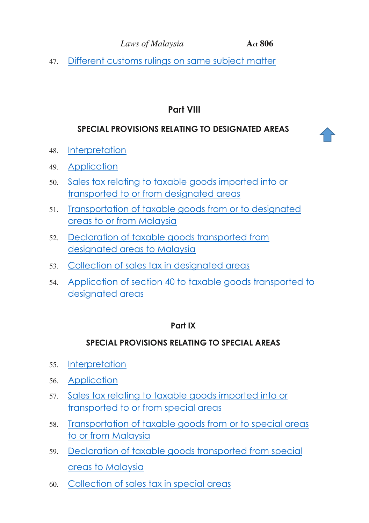47. [Different customs rulings on same subject matter](#page-53-1) 

# **Part VIII**

# **SPECIAL PROVISIONS RELATING TO DESIGNATED AREAS**

- 48. [Interpretation](#page-56-0)
- 49. [Application](#page-54-0)
- 50. [Sales tax relating to taxable goods imported into or](#page-54-1)  [transported to or from designated areas](#page-54-1)
- 51. [Transportation of taxable goods from or to designated](#page-57-0)  [areas to or from Malaysia](#page-57-0)
- 52. [Declaration of taxable goods transported from](#page-58-0)  [designated areas to Malaysia](#page-58-0)
- 53. [Collection of sales tax in designated areas](#page-56-1)
- 54. [Application of section 40 to taxable goods transported to](#page-56-2)  [designated areas](#page-56-2)

#### **Part IX**

# **SPECIAL PROVISIONS RELATING TO SPECIAL AREAS**

- 55. [Interpretation](#page-56-0)
- 56. [Application](#page-56-3)
- 57. [Sales tax relating to taxable goods imported into or](#page-54-1)  [transported to or from special areas](#page-54-1)
- 58. [Transportation of taxable goods from or to special areas](#page-55-0)  [to or from Malaysia](#page-55-0)
- 59. [Declaration of taxable goods transported from special](#page-55-1)  [areas to Malaysia](#page-55-1)
- 60. [Collection of sales tax in special areas](#page-58-1)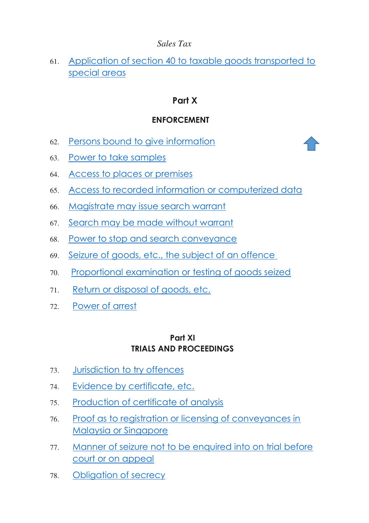# 61. [Application of section 40 to taxable goods transported to](#page-59-0)  [special areas](#page-59-0)

# **Part X**

# **ENFORCEMENT**

- 62. [Persons bound to give information](#page-59-1)
- 63. [Power to take samples](#page-60-0)
- 64. [Access to places or premises](#page-60-1)
- 65. [Access to recorded information or computerized data](#page-62-0)
- 66. [Magistrate may issue search warrant](#page-63-0)
- 67. [Search may be made without warrant](#page-64-0)
- 68. [Power to stop and search conveyance](#page-64-1)
- 69. [Seizure of goods, etc., the subject of an offence](#page-65-0)
- 70. [Proportional examination or testing of goods seized](#page-66-0)
- 71. [Return or disposal of goods, etc.](#page-67-0)
- 72. [Power of arrest](#page-69-0)

#### **Part XI TRIALS AND PROCEEDINGS**

- 73. [Jurisdiction to try offences](#page-71-0)
- 74. [Evidence by certificate, etc.](#page-71-1)
- 75. [Production of certificate of analysis](#page-72-0)
- 76. [Proof as to registration or licensing of conveyances in](#page-73-0)  [Malaysia or Singapore](#page-73-0)
- 77. [Manner of seizure not to be enquired into on trial before](#page-74-0)  [court or on appeal](#page-74-0)
- 78. [Obligation of secrecy](#page-74-1)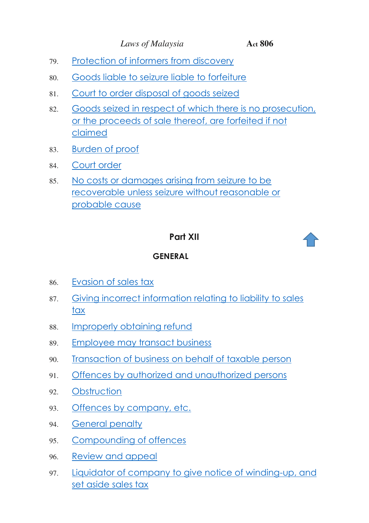- 79. [Protection of informers from discovery](#page-74-2)
- 80. [Goods liable to seizure liable to forfeiture](#page-75-0)
- 81. [Court to order disposal of goods seized](#page-75-1)
- 82. [Goods seized in respect of which there is no prosecution,](#page-76-0)  [or the proceeds of sale thereof, are forfeited if not](#page-76-0)  [claimed](#page-76-0)
- 83. [Burden of proof](#page-78-0)
- 84. [Court order](#page-78-1)
- 85. [No costs or damages arising from seizure to be](#page-79-0)  [recoverable unless seizure without reasonable or](#page-79-0)  [probable cause](#page-79-0)

# **Part XII**



#### **GENERAL**

- 86. [Evasion of sales tax](#page-79-1)
- 87. [Giving incorrect information relating to liability to sales](#page-81-0)  [tax](#page-81-0)
- 88. [Improperly obtaining refund](#page-81-1)
- 89. [Employee may transact business](#page-82-0)
- 90. [Transaction of business on behalf of taxable person](#page-82-1)
- 91. [Offences by authorized and unauthorized persons](#page-83-0)
- 92. [Obstruction](#page-83-1)
- 93. [Offences by company, etc.](#page-84-0)
- 94. [General penalty](#page-85-0)
- 95. [Compounding of offences](#page-85-1)
- 96. [Review and appeal](#page-86-0)
- 97. Liquidator of company to give notice of winding-up, and [set aside sales tax](#page-87-0)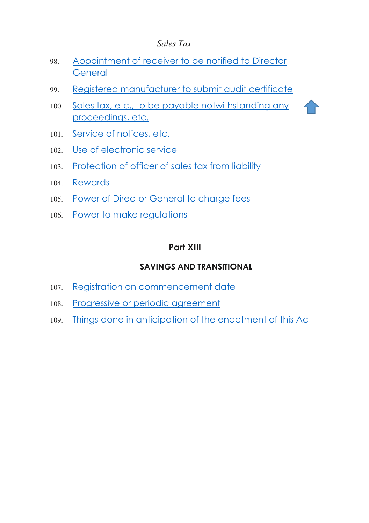- 98. [Appointment of receiver to be notified to Director](#page-88-0)  **[General](#page-88-0)**
- 99. [Registered manufacturer to submit audit certificate](#page-88-1)
- 100. [Sales tax, etc., to be payable notwithstanding any](#page-89-0)  [proceedings, etc.](#page-89-0)
- 101. [Service of notices, etc.](#page-89-1)
- 102. [Use of electronic service](#page-90-0)
- 103. [Protection of officer of sales tax from liability](#page-91-0)
- 104. [Rewards](#page-91-1)
- 105. [Power of Director General to charge fees](#page-91-2)
- 106. [Power to make regulations](#page-91-3)

#### **Part XIII**

#### **SAVINGS AND TRANSITIONAL**

- 107. [Registration on commencement date](#page-93-0)
- 108. [Progressive or periodic agreement](#page-94-0)
- 109. [Things done in anticipation of the enactment of this Act](#page-95-0)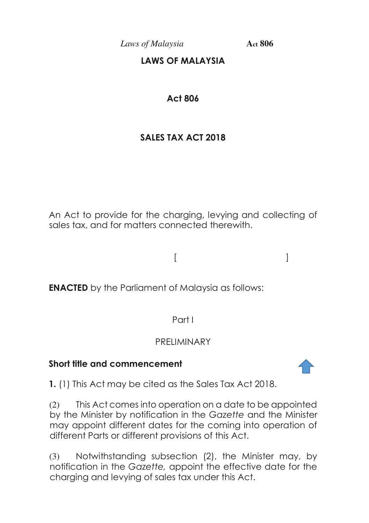# **LAWS OF MALAYSIA**

# **Act 806**

# **SALES TAX ACT 2018**

An Act to provide for the charging, levying and collecting of sales tax, and for matters connected therewith.

**ENACTED** by the Parliament of Malaysia as follows:

 $[$   $]$ 

Part I

# PRELIMINARY

# **Short title and commencement**

<span id="page-7-0"></span>**1.** (1) This Act may be cited as the Sales Tax Act 2018.

(2) This Act comes into operation on a date to be appointed by the Minister by notification in the *Gazette* and the Minister may appoint different dates for the coming into operation of different Parts or different provisions of this Act.

(3) Notwithstanding subsection (2), the Minister may, by notification in the *Gazette,* appoint the effective date for the charging and levying of sales tax under this Act.

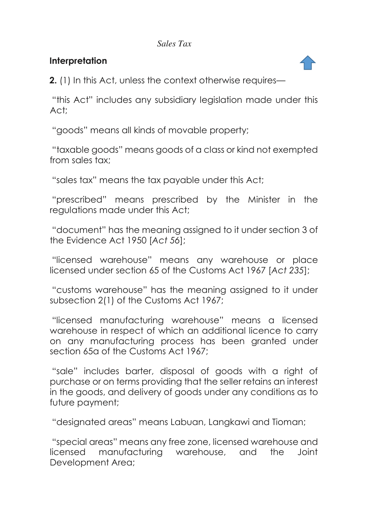# **Interpretation**

<span id="page-8-0"></span>**2.** (1) In this Act, unless the context otherwise requires—

"this Act" includes any subsidiary legislation made under this Act;

"goods" means all kinds of movable property;

"taxable goods" means goods of a class or kind not exempted from sales tax;

"sales tax" means the tax payable under this Act;

"prescribed" means prescribed by the Minister in the regulations made under this Act;

"document" has the meaning assigned to it under section 3 of the Evidence Act 1950 [*Act 56*];

"licensed warehouse" means any warehouse or place licensed under section 65 of the Customs Act 1967 [*Act 235*];

"customs warehouse" has the meaning assigned to it under subsection 2(1) of the Customs Act 1967;

"licensed manufacturing warehouse" means a licensed warehouse in respect of which an additional licence to carry on any manufacturing process has been granted under section 65a of the Customs Act 1967;

"sale" includes barter, disposal of goods with a right of purchase or on terms providing that the seller retains an interest in the goods, and delivery of goods under any conditions as to future payment;

"designated areas" means Labuan, Langkawi and Tioman;

"special areas" means any free zone, licensed warehouse and licensed manufacturing warehouse, and the Joint Development Area;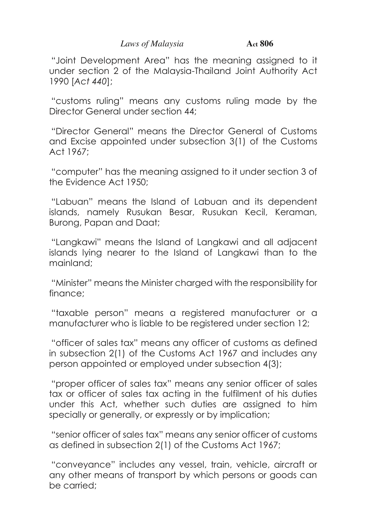"Joint Development Area" has the meaning assigned to it under section 2 of the Malaysia-Thailand Joint Authority Act 1990 [*Act 440*];

"customs ruling" means any customs ruling made by the Director General under section 44;

"Director General" means the Director General of Customs and Excise appointed under subsection 3(1) of the Customs Act 1967;

"computer" has the meaning assigned to it under section 3 of the Evidence Act 1950;

"Labuan" means the Island of Labuan and its dependent islands, namely Rusukan Besar, Rusukan Kecil, Keraman, Burong, Papan and Daat;

"Langkawi" means the Island of Langkawi and all adjacent islands lying nearer to the Island of Langkawi than to the mainland;

"Minister" means the Minister charged with the responsibility for finance;

"taxable person" means a registered manufacturer or a manufacturer who is liable to be registered under section 12;

"officer of sales tax" means any officer of customs as defined in subsection 2(1) of the Customs Act 1967 and includes any person appointed or employed under subsection 4(3);

"proper officer of sales tax" means any senior officer of sales tax or officer of sales tax acting in the fulfilment of his duties under this Act, whether such duties are assigned to him specially or generally, or expressly or by implication;

"senior officer of sales tax" means any senior officer of customs as defined in subsection 2(1) of the Customs Act 1967;

"conveyance" includes any vessel, train, vehicle, aircraft or any other means of transport by which persons or goods can be carried;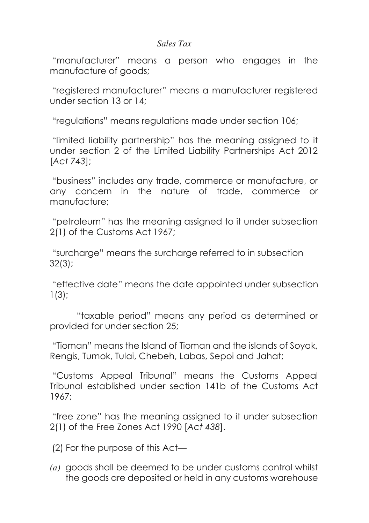"manufacturer" means a person who engages in the manufacture of goods;

"registered manufacturer" means a manufacturer registered under section 13 or 14;

"regulations" means regulations made under section 106;

"limited liability partnership" has the meaning assigned to it under section 2 of the Limited Liability Partnerships Act 2012 [*Act 743*];

"business" includes any trade, commerce or manufacture, or any concern in the nature of trade, commerce or manufacture;

"petroleum" has the meaning assigned to it under subsection 2(1) of the Customs Act 1967;

"surcharge" means the surcharge referred to in subsection 32(3);

"effective date" means the date appointed under subsection 1(3);

 "taxable period" means any period as determined or provided for under section 25;

"Tioman" means the Island of Tioman and the islands of Soyak, Rengis, Tumok, Tulai, Chebeh, Labas, Sepoi and Jahat;

"Customs Appeal Tribunal" means the Customs Appeal Tribunal established under section 141b of the Customs Act 1967;

"free zone" has the meaning assigned to it under subsection 2(1) of the Free Zones Act 1990 [*Act 438*].

(2) For the purpose of this Act—

*(a)* goods shall be deemed to be under customs control whilst the goods are deposited or held in any customs warehouse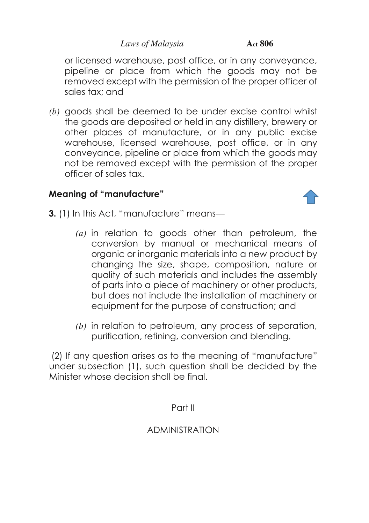or licensed warehouse, post office, or in any conveyance, pipeline or place from which the goods may not be removed except with the permission of the proper officer of sales tax; and

*(b)* goods shall be deemed to be under excise control whilst the goods are deposited or held in any distillery, brewery or other places of manufacture, or in any public excise warehouse, licensed warehouse, post office, or in any conveyance, pipeline or place from which the goods may not be removed except with the permission of the proper officer of sales tax.

# **Meaning of "manufacture"**



- <span id="page-11-0"></span>**3.** (1) In this Act, "manufacture" means—
	- *(a)* in relation to goods other than petroleum, the conversion by manual or mechanical means of organic or inorganic materials into a new product by changing the size, shape, composition, nature or quality of such materials and includes the assembly of parts into a piece of machinery or other products, but does not include the installation of machinery or equipment for the purpose of construction; and
	- *(b)* in relation to petroleum, any process of separation, purification, refining, conversion and blending.

 (2) If any question arises as to the meaning of "manufacture" under subsection (1), such question shall be decided by the Minister whose decision shall be final.

Part II

# ADMINISTRATION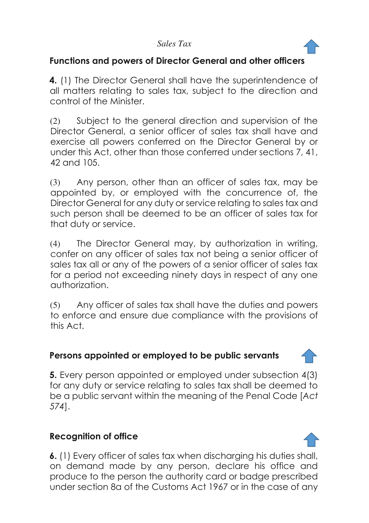

#### **Functions and powers of Director General and other officers**

<span id="page-12-0"></span>**4.** (1) The Director General shall have the superintendence of all matters relating to sales tax, subject to the direction and control of the Minister.

(2) Subject to the general direction and supervision of the Director General, a senior officer of sales tax shall have and exercise all powers conferred on the Director General by or under this Act, other than those conferred under sections 7, 41, 42 and 105.

(3) Any person, other than an officer of sales tax, may be appointed by, or employed with the concurrence of, the Director General for any duty or service relating to sales tax and such person shall be deemed to be an officer of sales tax for that duty or service.

(4) The Director General may, by authorization in writing, confer on any officer of sales tax not being a senior officer of sales tax all or any of the powers of a senior officer of sales tax for a period not exceeding ninety days in respect of any one authorization.

(5) Any officer of sales tax shall have the duties and powers to enforce and ensure due compliance with the provisions of this Act.

# <span id="page-12-1"></span>**Persons appointed or employed to be public servants**

**5.** Every person appointed or employed under subsection 4(3) for any duty or service relating to sales tax shall be deemed to be a public servant within the meaning of the Penal Code [*Act 574*].

# **Recognition of office**

<span id="page-12-2"></span>**6.** (1) Every officer of sales tax when discharging his duties shall, on demand made by any person, declare his office and produce to the person the authority card or badge prescribed under section 8a of the Customs Act 1967 or in the case of any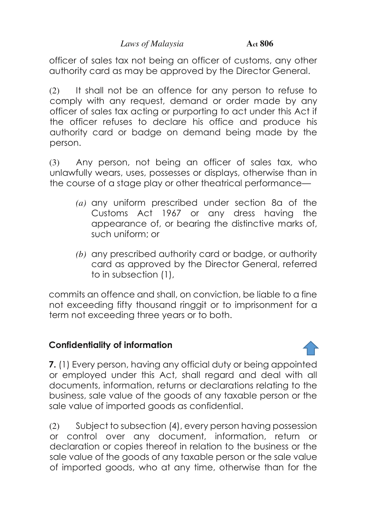officer of sales tax not being an officer of customs, any other authority card as may be approved by the Director General.

(2) It shall not be an offence for any person to refuse to comply with any request, demand or order made by any officer of sales tax acting or purporting to act under this Act if the officer refuses to declare his office and produce his authority card or badge on demand being made by the person.

(3) Any person, not being an officer of sales tax, who unlawfully wears, uses, possesses or displays, otherwise than in the course of a stage play or other theatrical performance—

- *(a)* any uniform prescribed under section 8a of the Customs Act 1967 or any dress having the appearance of, or bearing the distinctive marks of, such uniform; or
- *(b)* any prescribed authority card or badge, or authority card as approved by the Director General, referred to in subsection (1),

commits an offence and shall, on conviction, be liable to a fine not exceeding fifty thousand ringgit or to imprisonment for a term not exceeding three years or to both.

# **Confidentiality of information**

<span id="page-13-0"></span>**7.** (1) Every person, having any official duty or being appointed or employed under this Act, shall regard and deal with all documents, information, returns or declarations relating to the business, sale value of the goods of any taxable person or the sale value of imported goods as confidential.

(2) Subject to subsection (4), every person having possession or control over any document, information, return or declaration or copies thereof in relation to the business or the sale value of the goods of any taxable person or the sale value of imported goods, who at any time, otherwise than for the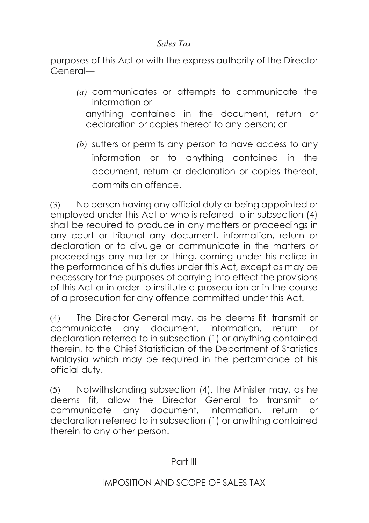purposes of this Act or with the express authority of the Director General—

- *(a)* communicates or attempts to communicate the information or anything contained in the document, return or declaration or copies thereof to any person; or
- *(b)* suffers or permits any person to have access to any information or to anything contained in the document, return or declaration or copies thereof, commits an offence.

(3) No person having any official duty or being appointed or employed under this Act or who is referred to in subsection (4) shall be required to produce in any matters or proceedings in any court or tribunal any document, information, return or declaration or to divulge or communicate in the matters or proceedings any matter or thing, coming under his notice in the performance of his duties under this Act, except as may be necessary for the purposes of carrying into effect the provisions of this Act or in order to institute a prosecution or in the course of a prosecution for any offence committed under this Act.

(4) The Director General may, as he deems fit, transmit or communicate any document, information, return or declaration referred to in subsection (1) or anything contained therein, to the Chief Statistician of the Department of Statistics Malaysia which may be required in the performance of his official duty.

(5) Notwithstanding subsection (4), the Minister may, as he deems fit, allow the Director General to transmit or communicate any document, information, return or declaration referred to in subsection (1) or anything contained therein to any other person.

Part III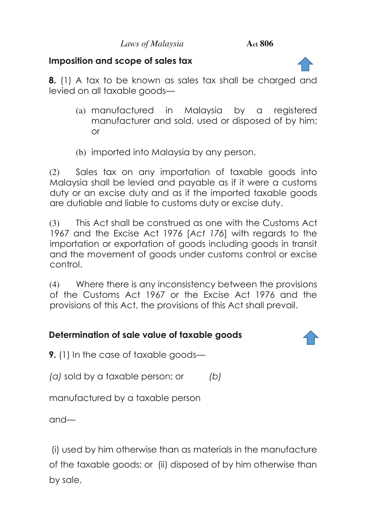# **Imposition and scope of sales tax**

<span id="page-15-0"></span>**8.** (1) A tax to be known as sales tax shall be charged and levied on all taxable goods—

- (a) manufactured in Malaysia by a registered manufacturer and sold, used or disposed of by him; or
- (b) imported into Malaysia by any person.

(2) Sales tax on any importation of taxable goods into Malaysia shall be levied and payable as if it were a customs duty or an excise duty and as if the imported taxable goods are dutiable and liable to customs duty or excise duty.

(3) This Act shall be construed as one with the Customs Act 1967 and the Excise Act 1976 [*Act 176*] with regards to the importation or exportation of goods including goods in transit and the movement of goods under customs control or excise control.

(4) Where there is any inconsistency between the provisions of the Customs Act 1967 or the Excise Act 1976 and the provisions of this Act, the provisions of this Act shall prevail.

# **Determination of sale value of taxable goods**

<span id="page-15-1"></span>**9.** (1) In the case of taxable goods—

*(a)* sold by a taxable person; or *(b)*

manufactured by a taxable person

and—

 (i) used by him otherwise than as materials in the manufacture of the taxable goods; or (ii) disposed of by him otherwise than by sale,

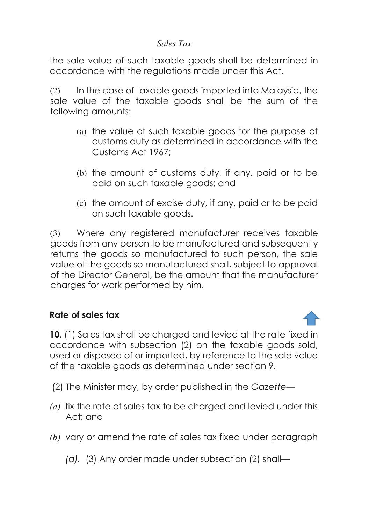the sale value of such taxable goods shall be determined in accordance with the regulations made under this Act.

(2) In the case of taxable goods imported into Malaysia, the sale value of the taxable goods shall be the sum of the following amounts:

- (a) the value of such taxable goods for the purpose of customs duty as determined in accordance with the Customs Act 1967;
- (b) the amount of customs duty, if any, paid or to be paid on such taxable goods; and
- (c) the amount of excise duty, if any, paid or to be paid on such taxable goods.

(3) Where any registered manufacturer receives taxable goods from any person to be manufactured and subsequently returns the goods so manufactured to such person, the sale value of the goods so manufactured shall, subject to approval of the Director General, be the amount that the manufacturer charges for work performed by him.

#### **Rate of sales tax**

<span id="page-16-0"></span>**10**. (1) Sales tax shall be charged and levied at the rate fixed in accordance with subsection (2) on the taxable goods sold, used or disposed of or imported, by reference to the sale value of the taxable goods as determined under section 9.

- (2) The Minister may, by order published in the *Gazette—*
- *(a)* fix the rate of sales tax to be charged and levied under this Act; and
- *(b)* vary or amend the rate of sales tax fixed under paragraph

*(a).* (3) Any order made under subsection (2) shall—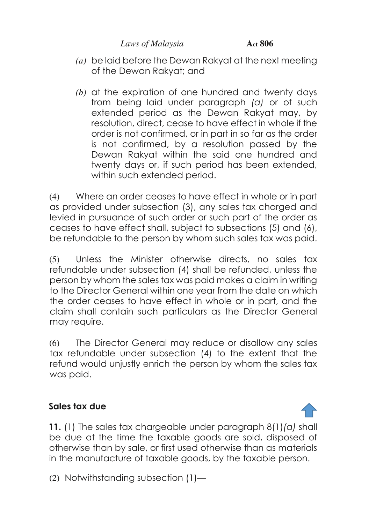- *(a)* be laid before the Dewan Rakyat at the next meeting of the Dewan Rakyat; and
- *(b)* at the expiration of one hundred and twenty days from being laid under paragraph *(a)* or of such extended period as the Dewan Rakyat may, by resolution, direct, cease to have effect in whole if the order is not confirmed, or in part in so far as the order is not confirmed, by a resolution passed by the Dewan Rakyat within the said one hundred and twenty days or, if such period has been extended, within such extended period.

(4) Where an order ceases to have effect in whole or in part as provided under subsection (3), any sales tax charged and levied in pursuance of such order or such part of the order as ceases to have effect shall, subject to subsections (5) and (6), be refundable to the person by whom such sales tax was paid.

(5) Unless the Minister otherwise directs, no sales tax refundable under subsection (4) shall be refunded, unless the person by whom the sales tax was paid makes a claim in writing to the Director General within one year from the date on which the order ceases to have effect in whole or in part, and the claim shall contain such particulars as the Director General may require.

(6) The Director General may reduce or disallow any sales tax refundable under subsection (4) to the extent that the refund would unjustly enrich the person by whom the sales tax was paid.

# **Sales tax due**

<span id="page-17-0"></span>**11.** (1) The sales tax chargeable under paragraph 8(1)*(a)* shall be due at the time the taxable goods are sold, disposed of otherwise than by sale, or first used otherwise than as materials in the manufacture of taxable goods, by the taxable person.

(2) Notwithstanding subsection (1)—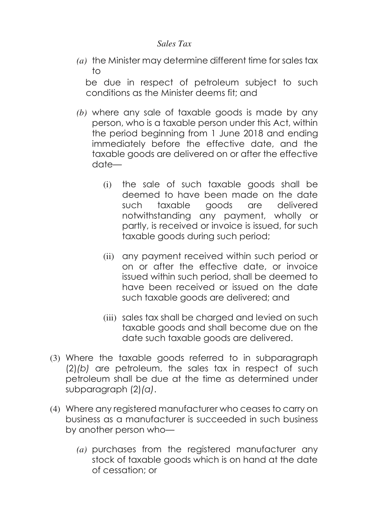*(a)* the Minister may determine different time for sales tax to

be due in respect of petroleum subject to such conditions as the Minister deems fit; and

- *(b)* where any sale of taxable goods is made by any person, who is a taxable person under this Act, within the period beginning from 1 June 2018 and ending immediately before the effective date, and the taxable goods are delivered on or after the effective date—
	- (i) the sale of such taxable goods shall be deemed to have been made on the date such taxable goods are delivered notwithstanding any payment, wholly or partly, is received or invoice is issued, for such taxable goods during such period;
	- (ii) any payment received within such period or on or after the effective date, or invoice issued within such period, shall be deemed to have been received or issued on the date such taxable goods are delivered; and
	- (iii) sales tax shall be charged and levied on such taxable goods and shall become due on the date such taxable goods are delivered.
- (3) Where the taxable goods referred to in subparagraph (2)*(b)* are petroleum, the sales tax in respect of such petroleum shall be due at the time as determined under subparagraph (2)*(a)*.
- (4) Where any registered manufacturer who ceases to carry on business as a manufacturer is succeeded in such business by another person who—
	- *(a)* purchases from the registered manufacturer any stock of taxable goods which is on hand at the date of cessation; or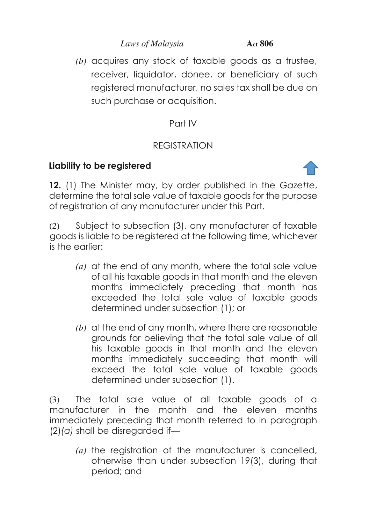*(b)* acquires any stock of taxable goods as a trustee, receiver, liquidator, donee, or beneficiary of such registered manufacturer, no sales tax shall be due on such purchase or acquisition.

# Part IV

# REGISTRATION

# **Liability to be registered**



<span id="page-19-0"></span>**12.** (1) The Minister may, by order published in the *Gazette*, determine the total sale value of taxable goods for the purpose of registration of any manufacturer under this Part.

(2) Subject to subsection (3), any manufacturer of taxable goods is liable to be registered at the following time, whichever is the earlier:

- *(a)* at the end of any month, where the total sale value of all his taxable goods in that month and the eleven months immediately preceding that month has exceeded the total sale value of taxable goods determined under subsection (1); or
- *(b)* at the end of any month, where there are reasonable grounds for believing that the total sale value of all his taxable goods in that month and the eleven months immediately succeeding that month will exceed the total sale value of taxable goods determined under subsection (1).

(3) The total sale value of all taxable goods of a manufacturer in the month and the eleven months immediately preceding that month referred to in paragraph (2)*(a)* shall be disregarded if—

*(a)* the registration of the manufacturer is cancelled, otherwise than under subsection 19(3), during that period; and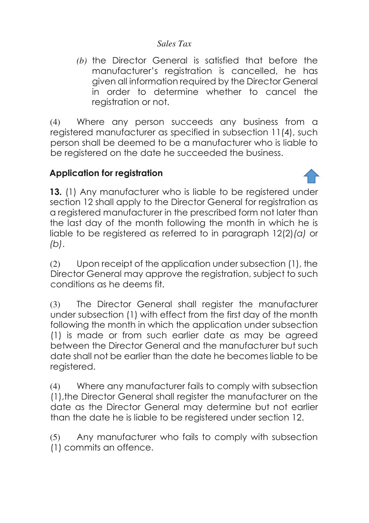*(b)* the Director General is satisfied that before the manufacturer's registration is cancelled, he has given all information required by the Director General in order to determine whether to cancel the registration or not.

(4) Where any person succeeds any business from a registered manufacturer as specified in subsection 11(4), such person shall be deemed to be a manufacturer who is liable to be registered on the date he succeeded the business.

# **Application for registration**

<span id="page-20-0"></span>**13.** (1) Any manufacturer who is liable to be registered under section 12 shall apply to the Director General for registration as a registered manufacturer in the prescribed form not later than the last day of the month following the month in which he is liable to be registered as referred to in paragraph 12(2)*(a)* or *(b)*.

(2) Upon receipt of the application under subsection (1), the Director General may approve the registration, subject to such conditions as he deems fit.

(3) The Director General shall register the manufacturer under subsection (1) with effect from the first day of the month following the month in which the application under subsection (1) is made or from such earlier date as may be agreed between the Director General and the manufacturer but such date shall not be earlier than the date he becomes liable to be registered.

(4) Where any manufacturer fails to comply with subsection (1),the Director General shall register the manufacturer on the date as the Director General may determine but not earlier than the date he is liable to be registered under section 12.

(5) Any manufacturer who fails to comply with subsection (1) commits an offence.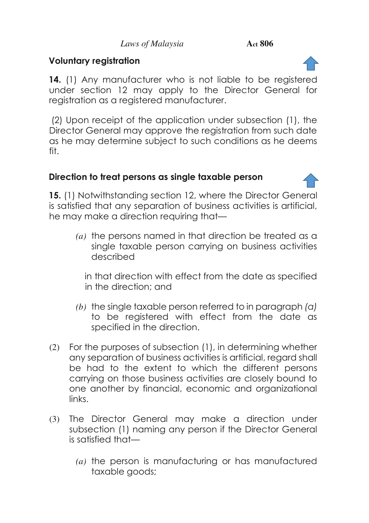# **Voluntary registration**

<span id="page-21-0"></span>**14.** (1) Any manufacturer who is not liable to be registered under section 12 may apply to the Director General for registration as a registered manufacturer.

 (2) Upon receipt of the application under subsection (1), the Director General may approve the registration from such date as he may determine subject to such conditions as he deems fit.

# **Direction to treat persons as single taxable person**

<span id="page-21-1"></span>**15.** (1) Notwithstanding section 12, where the Director General is satisfied that any separation of business activities is artificial, he may make a direction requiring that—

*(a)* the persons named in that direction be treated as a single taxable person carrying on business activities described

in that direction with effect from the date as specified in the direction; and

- *(b)* the single taxable person referred to in paragraph *(a)* to be registered with effect from the date as specified in the direction.
- (2) For the purposes of subsection (1), in determining whether any separation of business activities is artificial, regard shall be had to the extent to which the different persons carrying on those business activities are closely bound to one another by financial, economic and organizational links.
- (3) The Director General may make a direction under subsection (1) naming any person if the Director General is satisfied that—
	- *(a)* the person is manufacturing or has manufactured taxable goods;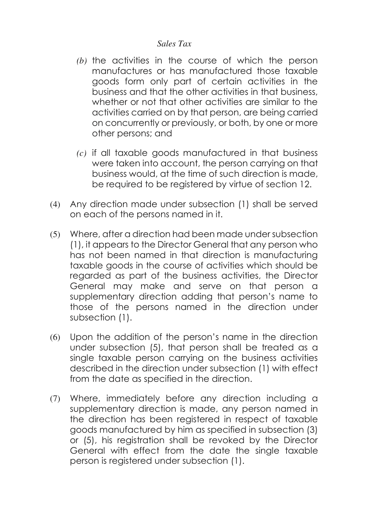- *(b)* the activities in the course of which the person manufactures or has manufactured those taxable goods form only part of certain activities in the business and that the other activities in that business, whether or not that other activities are similar to the activities carried on by that person, are being carried on concurrently or previously, or both, by one or more other persons; and
- *(c)* if all taxable goods manufactured in that business were taken into account, the person carrying on that business would, at the time of such direction is made, be required to be registered by virtue of section 12.
- (4) Any direction made under subsection (1) shall be served on each of the persons named in it.
- (5) Where, after a direction had been made under subsection (1), it appears to the Director General that any person who has not been named in that direction is manufacturing taxable goods in the course of activities which should be regarded as part of the business activities, the Director General may make and serve on that person a supplementary direction adding that person's name to those of the persons named in the direction under subsection (1).
- (6) Upon the addition of the person's name in the direction under subsection (5), that person shall be treated as a single taxable person carrying on the business activities described in the direction under subsection (1) with effect from the date as specified in the direction.
- (7) Where, immediately before any direction including a supplementary direction is made, any person named in the direction has been registered in respect of taxable goods manufactured by him as specified in subsection (3) or (5), his registration shall be revoked by the Director General with effect from the date the single taxable person is registered under subsection (1).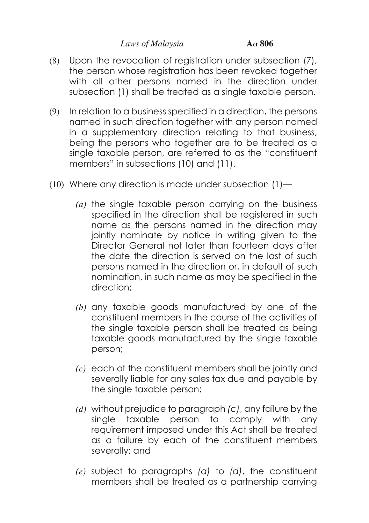- (8) Upon the revocation of registration under subsection (7), the person whose registration has been revoked together with all other persons named in the direction under subsection (1) shall be treated as a single taxable person.
- (9) In relation to a business specified in a direction, the persons named in such direction together with any person named in a supplementary direction relating to that business, being the persons who together are to be treated as a single taxable person, are referred to as the "constituent members" in subsections (10) and (11).
- (10) Where any direction is made under subsection  $(1)$ 
	- *(a)* the single taxable person carrying on the business specified in the direction shall be registered in such name as the persons named in the direction may jointly nominate by notice in writing given to the Director General not later than fourteen days after the date the direction is served on the last of such persons named in the direction or, in default of such nomination, in such name as may be specified in the direction;
	- *(b)* any taxable goods manufactured by one of the constituent members in the course of the activities of the single taxable person shall be treated as being taxable goods manufactured by the single taxable person;
	- *(c)* each of the constituent members shall be jointly and severally liable for any sales tax due and payable by the single taxable person;
	- *(d)* without prejudice to paragraph *(c)*, any failure by the single taxable person to comply with any requirement imposed under this Act shall be treated as a failure by each of the constituent members severally; and
	- *(e)* subject to paragraphs *(a)* to *(d)*, the constituent members shall be treated as a partnership carrying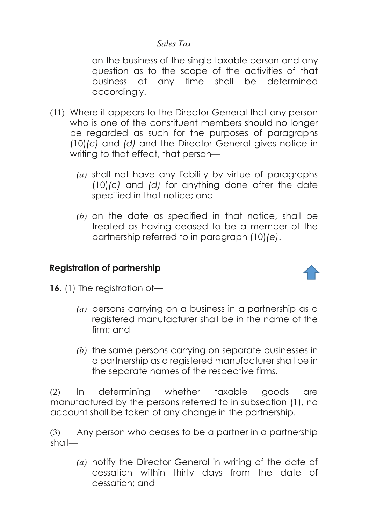on the business of the single taxable person and any question as to the scope of the activities of that business at any time shall be determined accordingly.

- (11) Where it appears to the Director General that any person who is one of the constituent members should no longer be regarded as such for the purposes of paragraphs (10)*(c)* and *(d)* and the Director General gives notice in writing to that effect, that person—
	- *(a)* shall not have any liability by virtue of paragraphs (10)*(c)* and *(d)* for anything done after the date specified in that notice; and
	- *(b)* on the date as specified in that notice, shall be treated as having ceased to be a member of the partnership referred to in paragraph (10)*(e)*.

# **Registration of partnership**



- <span id="page-24-0"></span>**16.** (1) The registration of—
	- *(a)* persons carrying on a business in a partnership as a registered manufacturer shall be in the name of the firm; and
	- *(b)* the same persons carrying on separate businesses in a partnership as a registered manufacturer shall be in the separate names of the respective firms.

(2) In determining whether taxable goods are manufactured by the persons referred to in subsection (1), no account shall be taken of any change in the partnership.

(3) Any person who ceases to be a partner in a partnership shall—

> *(a)* notify the Director General in writing of the date of cessation within thirty days from the date of cessation; and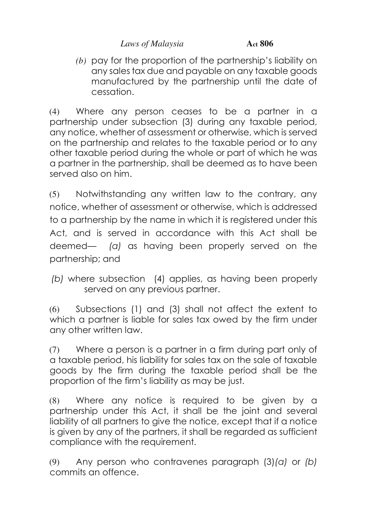*(b)* pay for the proportion of the partnership's liability on any sales tax due and payable on any taxable goods manufactured by the partnership until the date of cessation.

(4) Where any person ceases to be a partner in a partnership under subsection (3) during any taxable period, any notice, whether of assessment or otherwise, which is served on the partnership and relates to the taxable period or to any other taxable period during the whole or part of which he was a partner in the partnership, shall be deemed as to have been served also on him.

(5) Notwithstanding any written law to the contrary, any notice, whether of assessment or otherwise, which is addressed to a partnership by the name in which it is registered under this Act, and is served in accordance with this Act shall be deemed— *(a)* as having been properly served on the partnership; and

 *(b)* where subsection (4) applies, as having been properly served on any previous partner.

(6) Subsections (1) and (3) shall not affect the extent to which a partner is liable for sales tax owed by the firm under any other written law.

(7) Where a person is a partner in a firm during part only of a taxable period, his liability for sales tax on the sale of taxable goods by the firm during the taxable period shall be the proportion of the firm's liability as may be just.

(8) Where any notice is required to be given by a partnership under this Act, it shall be the joint and several liability of all partners to give the notice, except that if a notice is given by any of the partners, it shall be regarded as sufficient compliance with the requirement.

(9) Any person who contravenes paragraph (3)*(a)* or *(b)*  commits an offence.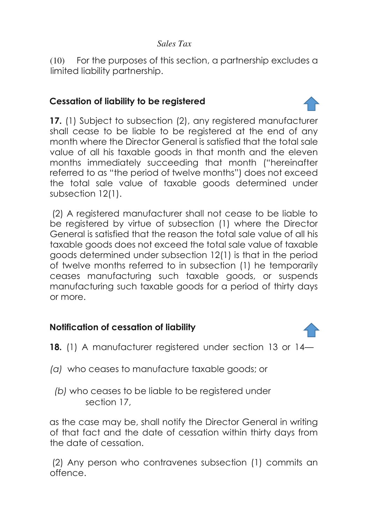(10) For the purposes of this section, a partnership excludes a limited liability partnership.

# **Cessation of liability to be registered**

<span id="page-26-0"></span>**17.** (1) Subject to subsection (2), any registered manufacturer shall cease to be liable to be registered at the end of any month where the Director General is satisfied that the total sale value of all his taxable goods in that month and the eleven months immediately succeeding that month ("hereinafter referred to as "the period of twelve months") does not exceed the total sale value of taxable goods determined under subsection 12(1).

 (2) A registered manufacturer shall not cease to be liable to be registered by virtue of subsection (1) where the Director General is satisfied that the reason the total sale value of all his taxable goods does not exceed the total sale value of taxable goods determined under subsection 12(1) is that in the period of twelve months referred to in subsection (1) he temporarily ceases manufacturing such taxable goods, or suspends manufacturing such taxable goods for a period of thirty days or more.

# **Notification of cessation of liability**

- <span id="page-26-1"></span>**18.** (1) A manufacturer registered under section 13 or 14—
- *(a)* who ceases to manufacture taxable goods; or
	- *(b)* who ceases to be liable to be registered under section 17,

as the case may be, shall notify the Director General in writing of that fact and the date of cessation within thirty days from the date of cessation.

 (2) Any person who contravenes subsection (1) commits an offence.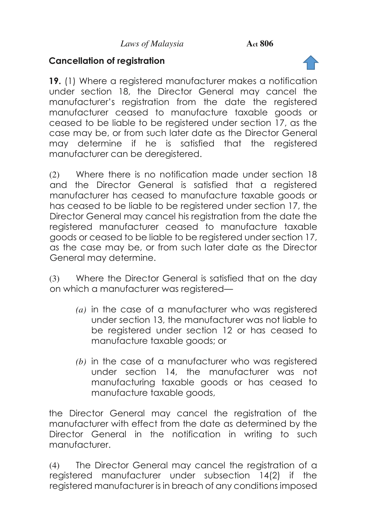# **Cancellation of registration**

<span id="page-27-0"></span>**19.** (1) Where a registered manufacturer makes a notification under section 18, the Director General may cancel the manufacturer's registration from the date the registered manufacturer ceased to manufacture taxable goods or ceased to be liable to be registered under section 17, as the case may be, or from such later date as the Director General may determine if he is satisfied that the registered manufacturer can be deregistered.

(2) Where there is no notification made under section 18 and the Director General is satisfied that a registered manufacturer has ceased to manufacture taxable goods or has ceased to be liable to be registered under section 17, the Director General may cancel his registration from the date the registered manufacturer ceased to manufacture taxable goods or ceased to be liable to be registered under section 17, as the case may be, or from such later date as the Director General may determine.

(3) Where the Director General is satisfied that on the day on which a manufacturer was registered—

- *(a)* in the case of a manufacturer who was registered under section 13, the manufacturer was not liable to be registered under section 12 or has ceased to manufacture taxable goods; or
- *(b)* in the case of a manufacturer who was registered under section 14, the manufacturer was not manufacturing taxable goods or has ceased to manufacture taxable goods,

the Director General may cancel the registration of the manufacturer with effect from the date as determined by the Director General in the notification in writing to such manufacturer.

(4) The Director General may cancel the registration of a registered manufacturer under subsection 14(2) if the registered manufacturer is in breach of any conditions imposed

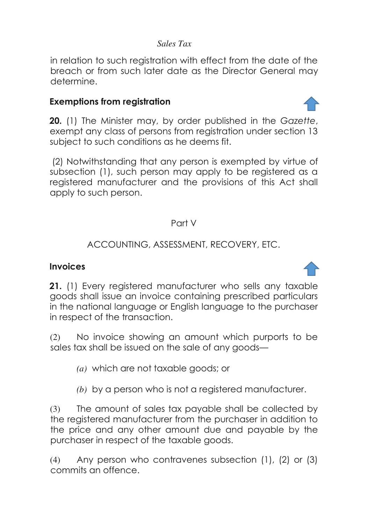in relation to such registration with effect from the date of the breach or from such later date as the Director General may determine.

### **Exemptions from registration**

<span id="page-28-0"></span>**20.** (1) The Minister may, by order published in the *Gazette*, exempt any class of persons from registration under section 13 subject to such conditions as he deems fit.

 (2) Notwithstanding that any person is exempted by virtue of subsection (1), such person may apply to be registered as a registered manufacturer and the provisions of this Act shall apply to such person.

#### Part V

# ACCOUNTING, ASSESSMENT, RECOVERY, ETC.

#### **Invoices**

<span id="page-28-1"></span>**21.** (1) Every registered manufacturer who sells any taxable goods shall issue an invoice containing prescribed particulars in the national language or English language to the purchaser in respect of the transaction.

(2) No invoice showing an amount which purports to be sales tax shall be issued on the sale of any goods—

- *(a)* which are not taxable goods; or
- *(b)* by a person who is not a registered manufacturer.

(3) The amount of sales tax payable shall be collected by the registered manufacturer from the purchaser in addition to the price and any other amount due and payable by the purchaser in respect of the taxable goods.

(4) Any person who contravenes subsection (1), (2) or (3) commits an offence.



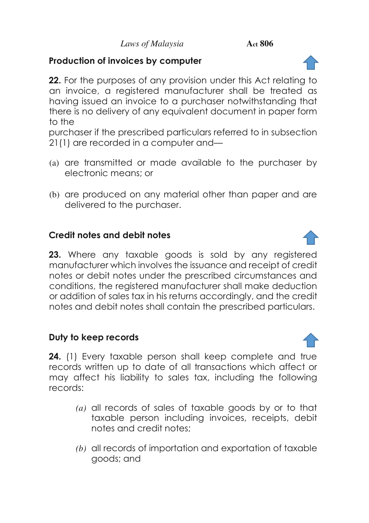# **Production of invoices by computer**

<span id="page-29-0"></span>**22.** For the purposes of any provision under this Act relating to an invoice, a registered manufacturer shall be treated as having issued an invoice to a purchaser notwithstanding that there is no delivery of any equivalent document in paper form to the

purchaser if the prescribed particulars referred to in subsection 21(1) are recorded in a computer and—

- (a) are transmitted or made available to the purchaser by electronic means; or
- (b) are produced on any material other than paper and are delivered to the purchaser.

# **Credit notes and debit notes**

<span id="page-29-1"></span>**23.** Where any taxable goods is sold by any registered manufacturer which involves the issuance and receipt of credit notes or debit notes under the prescribed circumstances and conditions, the registered manufacturer shall make deduction or addition of sales tax in his returns accordingly, and the credit notes and debit notes shall contain the prescribed particulars.

# **Duty to keep records**

<span id="page-29-2"></span>**24.** (1) Every taxable person shall keep complete and true records written up to date of all transactions which affect or may affect his liability to sales tax, including the following records:

- *(a)* all records of sales of taxable goods by or to that taxable person including invoices, receipts, debit notes and credit notes;
- *(b)* all records of importation and exportation of taxable goods; and



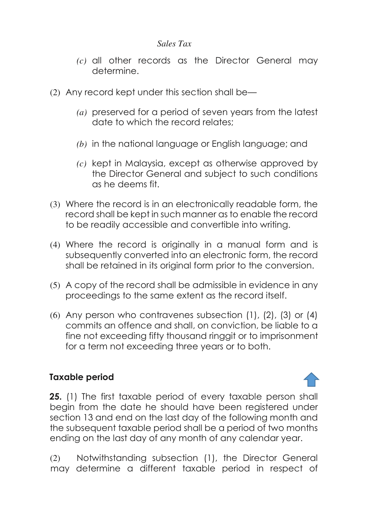- *(c)* all other records as the Director General may determine.
- (2) Any record kept under this section shall be—
	- *(a)* preserved for a period of seven years from the latest date to which the record relates;
	- *(b)* in the national language or English language; and
	- *(c)* kept in Malaysia, except as otherwise approved by the Director General and subject to such conditions as he deems fit.
- (3) Where the record is in an electronically readable form, the record shall be kept in such manner as to enable the record to be readily accessible and convertible into writing.
- (4) Where the record is originally in a manual form and is subsequently converted into an electronic form, the record shall be retained in its original form prior to the conversion.
- (5) A copy of the record shall be admissible in evidence in any proceedings to the same extent as the record itself.
- (6) Any person who contravenes subsection (1), (2), (3) or (4) commits an offence and shall, on conviction, be liable to a fine not exceeding fifty thousand ringgit or to imprisonment for a term not exceeding three years or to both.

#### **Taxable period**

<span id="page-30-0"></span>**25.** (1) The first taxable period of every taxable person shall begin from the date he should have been registered under section 13 and end on the last day of the following month and the subsequent taxable period shall be a period of two months ending on the last day of any month of any calendar year.

(2) Notwithstanding subsection (1), the Director General may determine a different taxable period in respect of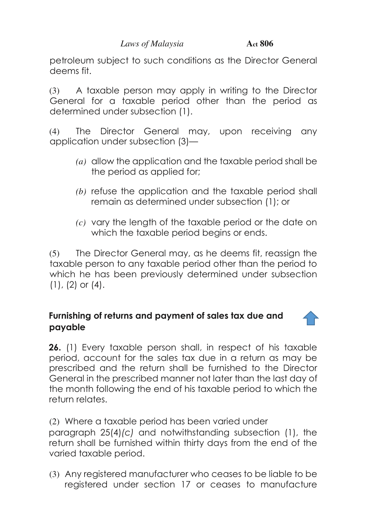petroleum subject to such conditions as the Director General deems fit.

(3) A taxable person may apply in writing to the Director General for a taxable period other than the period as determined under subsection (1).

(4) The Director General may, upon receiving any application under subsection (3)—

- *(a)* allow the application and the taxable period shall be the period as applied for;
- *(b)* refuse the application and the taxable period shall remain as determined under subsection (1); or
- *(c)* vary the length of the taxable period or the date on which the taxable period begins or ends.

(5) The Director General may, as he deems fit, reassign the taxable person to any taxable period other than the period to which he has been previously determined under subsection  $(1)$ ,  $(2)$  or  $(4)$ .

#### <span id="page-31-0"></span>**Furnishing of returns and payment of sales tax due and payable**

**26.** (1) Every taxable person shall, in respect of his taxable period, account for the sales tax due in a return as may be prescribed and the return shall be furnished to the Director General in the prescribed manner not later than the last day of the month following the end of his taxable period to which the return relates.

(2) Where a taxable period has been varied under paragraph 25(4)*(c)* and notwithstanding subsection (1), the return shall be furnished within thirty days from the end of the varied taxable period.

(3) Any registered manufacturer who ceases to be liable to be registered under section 17 or ceases to manufacture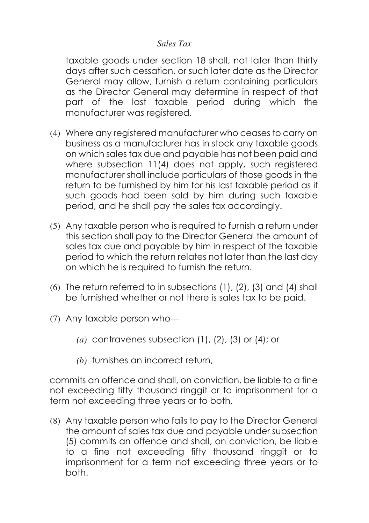taxable goods under section 18 shall, not later than thirty days after such cessation, or such later date as the Director General may allow, furnish a return containing particulars as the Director General may determine in respect of that part of the last taxable period during which the manufacturer was registered.

- (4) Where any registered manufacturer who ceases to carry on business as a manufacturer has in stock any taxable goods on which sales tax due and payable has not been paid and where subsection 11(4) does not apply, such registered manufacturer shall include particulars of those goods in the return to be furnished by him for his last taxable period as if such goods had been sold by him during such taxable period, and he shall pay the sales tax accordingly.
- (5) Any taxable person who is required to furnish a return under this section shall pay to the Director General the amount of sales tax due and payable by him in respect of the taxable period to which the return relates not later than the last day on which he is required to furnish the return.
- (6) The return referred to in subsections (1), (2), (3) and (4) shall be furnished whether or not there is sales tax to be paid.
- (7) Any taxable person who—
	- *(a)* contravenes subsection (1), (2), (3) or (4); or
	- *(b)* furnishes an incorrect return,

commits an offence and shall, on conviction, be liable to a fine not exceeding fifty thousand ringgit or to imprisonment for a term not exceeding three years or to both.

(8) Any taxable person who fails to pay to the Director General the amount of sales tax due and payable under subsection (5) commits an offence and shall, on conviction, be liable to a fine not exceeding fifty thousand ringgit or to imprisonment for a term not exceeding three years or to both.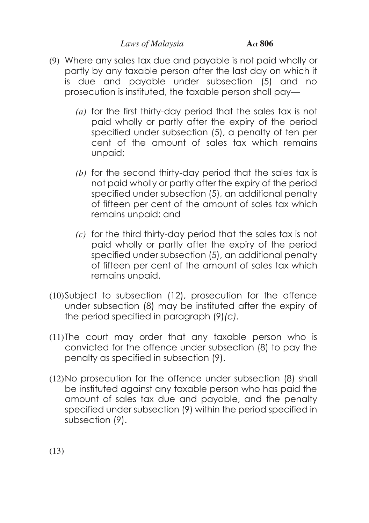- (9) Where any sales tax due and payable is not paid wholly or partly by any taxable person after the last day on which it is due and payable under subsection (5) and no prosecution is instituted, the taxable person shall pay—
	- *(a)* for the first thirty-day period that the sales tax is not paid wholly or partly after the expiry of the period specified under subsection (5), a penalty of ten per cent of the amount of sales tax which remains unpaid;
	- *(b)* for the second thirty-day period that the sales tax is not paid wholly or partly after the expiry of the period specified under subsection (5), an additional penalty of fifteen per cent of the amount of sales tax which remains unpaid; and
	- *(c)* for the third thirty-day period that the sales tax is not paid wholly or partly after the expiry of the period specified under subsection (5), an additional penalty of fifteen per cent of the amount of sales tax which remains unpaid.
- (10)Subject to subsection (12), prosecution for the offence under subsection (8) may be instituted after the expiry of the period specified in paragraph (9)*(c).*
- (11)The court may order that any taxable person who is convicted for the offence under subsection (8) to pay the penalty as specified in subsection (9).
- (12)No prosecution for the offence under subsection (8) shall be instituted against any taxable person who has paid the amount of sales tax due and payable, and the penalty specified under subsection (9) within the period specified in subsection (9).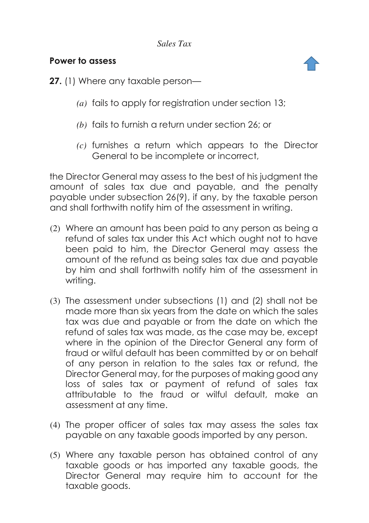#### **Power to assess**



- <span id="page-34-0"></span>**27.** (1) Where any taxable person—
	- *(a)* fails to apply for registration under section 13;
	- *(b)* fails to furnish a return under section 26; or
	- *(c)* furnishes a return which appears to the Director General to be incomplete or incorrect,

the Director General may assess to the best of his judgment the amount of sales tax due and payable, and the penalty payable under subsection 26(9), if any, by the taxable person and shall forthwith notify him of the assessment in writing.

- (2) Where an amount has been paid to any person as being a refund of sales tax under this Act which ought not to have been paid to him, the Director General may assess the amount of the refund as being sales tax due and payable by him and shall forthwith notify him of the assessment in writing.
- (3) The assessment under subsections (1) and (2) shall not be made more than six years from the date on which the sales tax was due and payable or from the date on which the refund of sales tax was made, as the case may be, except where in the opinion of the Director General any form of fraud or wilful default has been committed by or on behalf of any person in relation to the sales tax or refund, the Director General may, for the purposes of making good any loss of sales tax or payment of refund of sales tax attributable to the fraud or wilful default, make an assessment at any time.
- (4) The proper officer of sales tax may assess the sales tax payable on any taxable goods imported by any person.
- (5) Where any taxable person has obtained control of any taxable goods or has imported any taxable goods, the Director General may require him to account for the taxable goods.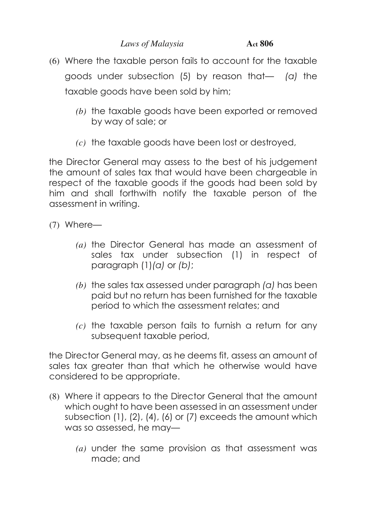- (6) Where the taxable person fails to account for the taxable goods under subsection (5) by reason that— *(a)* the taxable goods have been sold by him;
	- *(b)* the taxable goods have been exported or removed by way of sale; or
	- *(c)* the taxable goods have been lost or destroyed,

the Director General may assess to the best of his judgement the amount of sales tax that would have been chargeable in respect of the taxable goods if the goods had been sold by him and shall forthwith notify the taxable person of the assessment in writing.

(7) Where—

- *(a)* the Director General has made an assessment of sales tax under subsection (1) in respect of paragraph (1)*(a)* or *(b)*;
- *(b)* the sales tax assessed under paragraph *(a)* has been paid but no return has been furnished for the taxable period to which the assessment relates; and
- *(c)* the taxable person fails to furnish a return for any subsequent taxable period,

the Director General may, as he deems fit, assess an amount of sales tax greater than that which he otherwise would have considered to be appropriate.

- (8) Where it appears to the Director General that the amount which ought to have been assessed in an assessment under subsection (1), (2), (4), (6) or (7) exceeds the amount which was so assessed, he may—
	- *(a)* under the same provision as that assessment was made; and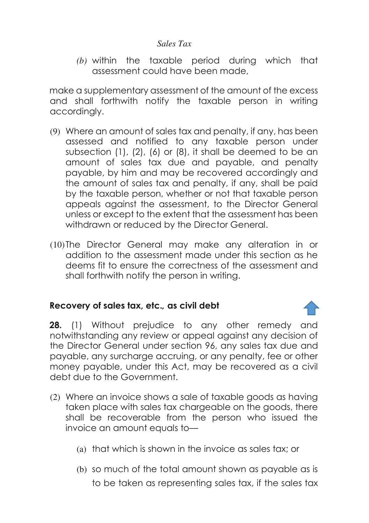*(b)* within the taxable period during which that assessment could have been made,

make a supplementary assessment of the amount of the excess and shall forthwith notify the taxable person in writing accordingly.

- (9) Where an amount of sales tax and penalty, if any, has been assessed and notified to any taxable person under subsection (1), (2), (6) or (8), it shall be deemed to be an amount of sales tax due and payable, and penalty payable, by him and may be recovered accordingly and the amount of sales tax and penalty, if any, shall be paid by the taxable person, whether or not that taxable person appeals against the assessment, to the Director General unless or except to the extent that the assessment has been withdrawn or reduced by the Director General.
- (10)The Director General may make any alteration in or addition to the assessment made under this section as he deems fit to ensure the correctness of the assessment and shall forthwith notify the person in writing.

#### **Recovery of sales tax, etc.***,* **as civil debt**

**28.** (1) Without prejudice to any other remedy and notwithstanding any review or appeal against any decision of the Director General under section 96, any sales tax due and payable, any surcharge accruing, or any penalty, fee or other money payable, under this Act, may be recovered as a civil debt due to the Government.

- (2) Where an invoice shows a sale of taxable goods as having taken place with sales tax chargeable on the goods, there shall be recoverable from the person who issued the invoice an amount equals to—
	- (a) that which is shown in the invoice as sales tax; or
	- (b) so much of the total amount shown as payable as is to be taken as representing sales tax, if the sales tax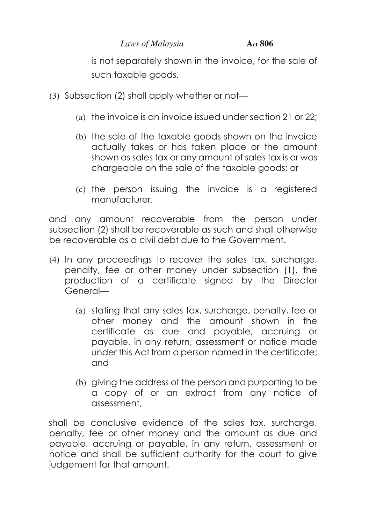is not separately shown in the invoice, for the sale of such taxable goods.

- (3) Subsection (2) shall apply whether or not—
	- (a) the invoice is an invoice issued under section 21 or 22;
	- (b) the sale of the taxable goods shown on the invoice actually takes or has taken place or the amount shown as sales tax or any amount of sales tax is or was chargeable on the sale of the taxable goods; or
	- (c) the person issuing the invoice is a registered manufacturer,

and any amount recoverable from the person under subsection (2) shall be recoverable as such and shall otherwise be recoverable as a civil debt due to the Government.

- (4) In any proceedings to recover the sales tax, surcharge, penalty, fee or other money under subsection (1), the production of a certificate signed by the Director General—
	- (a) stating that any sales tax, surcharge, penalty, fee or other money and the amount shown in the certificate as due and payable, accruing or payable, in any return, assessment or notice made under this Act from a person named in the certificate; and
	- (b) giving the address of the person and purporting to be a copy of or an extract from any notice of assessment,

shall be conclusive evidence of the sales tax, surcharge, penalty, fee or other money and the amount as due and payable, accruing or payable, in any return, assessment or notice and shall be sufficient authority for the court to give judgement for that amount.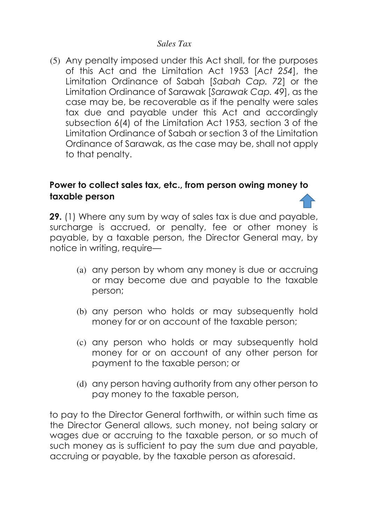(5) Any penalty imposed under this Act shall, for the purposes of this Act and the Limitation Act 1953 [*Act 254*], the Limitation Ordinance of Sabah [*Sabah Cap. 72*] or the Limitation Ordinance of Sarawak [*Sarawak Cap. 49*], as the case may be, be recoverable as if the penalty were sales tax due and payable under this Act and accordingly subsection 6(4) of the Limitation Act 1953, section 3 of the Limitation Ordinance of Sabah or section 3 of the Limitation Ordinance of Sarawak, as the case may be, shall not apply to that penalty.

### **Power to collect sales tax, etc., from person owing money to taxable person**

**29.** (1) Where any sum by way of sales tax is due and payable, surcharge is accrued, or penalty, fee or other money is payable, by a taxable person, the Director General may, by notice in writing, require—

- (a) any person by whom any money is due or accruing or may become due and payable to the taxable person;
- (b) any person who holds or may subsequently hold money for or on account of the taxable person;
- (c) any person who holds or may subsequently hold money for or on account of any other person for payment to the taxable person; or
- (d) any person having authority from any other person to pay money to the taxable person,

to pay to the Director General forthwith, or within such time as the Director General allows, such money, not being salary or wages due or accruing to the taxable person, or so much of such money as is sufficient to pay the sum due and payable, accruing or payable, by the taxable person as aforesaid.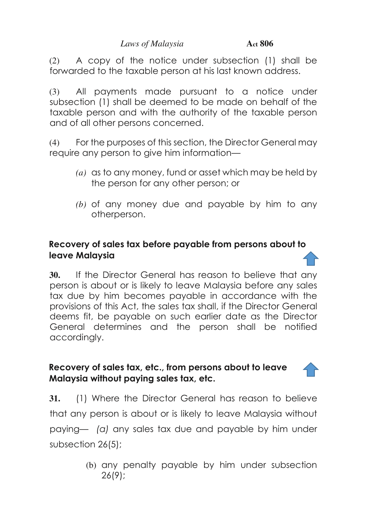(2) A copy of the notice under subsection (1) shall be forwarded to the taxable person at his last known address.

(3) All payments made pursuant to a notice under subsection (1) shall be deemed to be made on behalf of the taxable person and with the authority of the taxable person and of all other persons concerned.

(4) For the purposes of this section, the Director General may require any person to give him information—

- *(a)* as to any money, fund or asset which may be held by the person for any other person; or
- *(b)* of any money due and payable by him to any otherperson.

## **Recovery of sales tax before payable from persons about to leave Malaysia**

**30.** If the Director General has reason to believe that any person is about or is likely to leave Malaysia before any sales tax due by him becomes payable in accordance with the provisions of this Act, the sales tax shall, if the Director General deems fit, be payable on such earlier date as the Director General determines and the person shall be notified accordingly.

# **Recovery of sales tax, etc., from persons about to leave Malaysia without paying sales tax, etc.**

**31.** (1) Where the Director General has reason to believe that any person is about or is likely to leave Malaysia without paying— *(a)* any sales tax due and payable by him under subsection 26(5);

> (b) any penalty payable by him under subsection 26(9);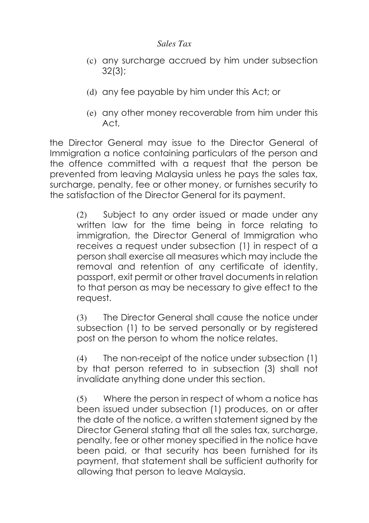- (c) any surcharge accrued by him under subsection 32(3);
- (d) any fee payable by him under this Act; or
- (e) any other money recoverable from him under this Act,

the Director General may issue to the Director General of Immigration a notice containing particulars of the person and the offence committed with a request that the person be prevented from leaving Malaysia unless he pays the sales tax, surcharge, penalty, fee or other money, or furnishes security to the satisfaction of the Director General for its payment.

(2) Subject to any order issued or made under any written law for the time being in force relating to immigration, the Director General of Immigration who receives a request under subsection (1) in respect of a person shall exercise all measures which may include the removal and retention of any certificate of identity, passport, exit permit or other travel documents in relation to that person as may be necessary to give effect to the request.

(3) The Director General shall cause the notice under subsection (1) to be served personally or by registered post on the person to whom the notice relates.

(4) The non-receipt of the notice under subsection (1) by that person referred to in subsection (3) shall not invalidate anything done under this section.

(5) Where the person in respect of whom a notice has been issued under subsection (1) produces, on or after the date of the notice, a written statement signed by the Director General stating that all the sales tax, surcharge, penalty, fee or other money specified in the notice have been paid, or that security has been furnished for its payment, that statement shall be sufficient authority for allowing that person to leave Malaysia.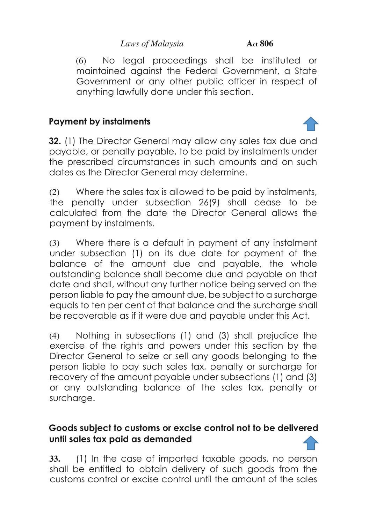(6) No legal proceedings shall be instituted or maintained against the Federal Government, a State Government or any other public officer in respect of anything lawfully done under this section.

# **Payment by instalments**

**32.** (1) The Director General may allow any sales tax due and payable, or penalty payable, to be paid by instalments under the prescribed circumstances in such amounts and on such dates as the Director General may determine.

(2) Where the sales tax is allowed to be paid by instalments, the penalty under subsection 26(9) shall cease to be calculated from the date the Director General allows the payment by instalments.

(3) Where there is a default in payment of any instalment under subsection (1) on its due date for payment of the balance of the amount due and payable, the whole outstanding balance shall become due and payable on that date and shall, without any further notice being served on the person liable to pay the amount due, be subject to a surcharge equals to ten per cent of that balance and the surcharge shall be recoverable as if it were due and payable under this Act.

(4) Nothing in subsections (1) and (3) shall prejudice the exercise of the rights and powers under this section by the Director General to seize or sell any goods belonging to the person liable to pay such sales tax, penalty or surcharge for recovery of the amount payable under subsections (1) and (3) or any outstanding balance of the sales tax, penalty or surcharge.

### **Goods subject to customs or excise control not to be delivered until sales tax paid as demanded**

**33.** (1) In the case of imported taxable goods, no person shall be entitled to obtain delivery of such goods from the customs control or excise control until the amount of the sales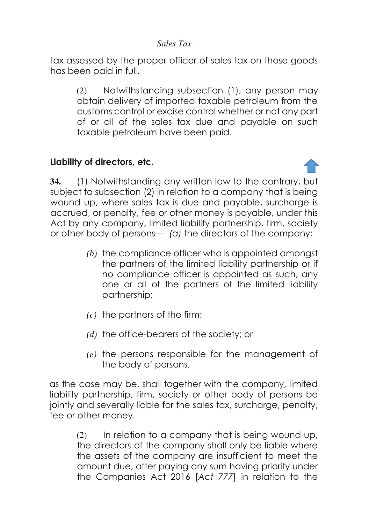tax assessed by the proper officer of sales tax on those goods has been paid in full.

(2) Notwithstanding subsection (1), any person may obtain delivery of imported taxable petroleum from the customs control or excise control whether or not any part of or all of the sales tax due and payable on such taxable petroleum have been paid.

### **Liability of directors, etc.**

**34.** (1) Notwithstanding any written law to the contrary, but subject to subsection (2) in relation to a company that is being wound up, where sales tax is due and payable, surcharge is accrued, or penalty, fee or other money is payable, under this Act by any company, limited liability partnership, firm, society or other body of persons— *(a)* the directors of the company;

- *(b)* the compliance officer who is appointed amongst the partners of the limited liability partnership or if no compliance officer is appointed as such, any one or all of the partners of the limited liability partnership;
- *(c)* the partners of the firm;
- *(d)* the office-bearers of the society; or
- *(e)* the persons responsible for the management of the body of persons,

as the case may be, shall together with the company, limited liability partnership, firm, society or other body of persons be jointly and severally liable for the sales tax, surcharge, penalty, fee or other money.

(2) In relation to a company that is being wound up, the directors of the company shall only be liable where the assets of the company are insufficient to meet the amount due, after paying any sum having priority under the Companies Act 2016 [*Act 777*] in relation to the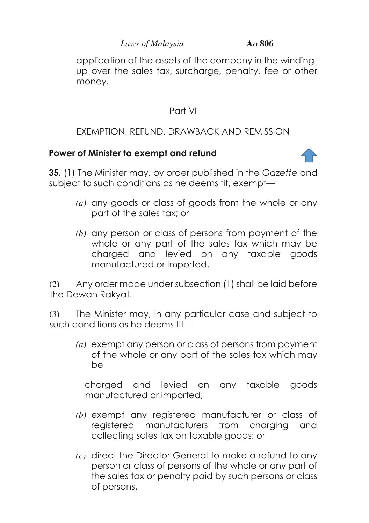application of the assets of the company in the windingup over the sales tax, surcharge, penalty, fee or other money.

# Part VI

# EXEMPTION, REFUND, DRAWBACK AND REMISSION

### **Power of Minister to exempt and refund**

**35.** (1) The Minister may, by order published in the *Gazette* and subject to such conditions as he deems fit, exempt—

- *(a)* any goods or class of goods from the whole or any part of the sales tax; or
- *(b)* any person or class of persons from payment of the whole or any part of the sales tax which may be charged and levied on any taxable goods manufactured or imported.

(2) Any order made under subsection (1) shall be laid before the Dewan Rakyat.

(3) The Minister may, in any particular case and subject to such conditions as he deems fit—

*(a)* exempt any person or class of persons from payment of the whole or any part of the sales tax which may be

charged and levied on any taxable goods manufactured or imported;

- *(b)* exempt any registered manufacturer or class of registered manufacturers from charging and collecting sales tax on taxable goods; or
- *(c)* direct the Director General to make a refund to any person or class of persons of the whole or any part of the sales tax or penalty paid by such persons or class of persons.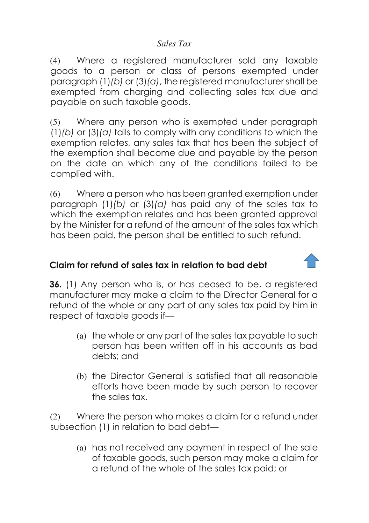(4) Where a registered manufacturer sold any taxable goods to a person or class of persons exempted under paragraph (1)*(b)* or (3)*(a)*, the registered manufacturer shall be exempted from charging and collecting sales tax due and payable on such taxable goods.

(5) Where any person who is exempted under paragraph (1)*(b)* or (3)*(a)* fails to comply with any conditions to which the exemption relates, any sales tax that has been the subject of the exemption shall become due and payable by the person on the date on which any of the conditions failed to be complied with.

(6) Where a person who has been granted exemption under paragraph (1)*(b)* or (3)*(a)* has paid any of the sales tax to which the exemption relates and has been granted approval by the Minister for a refund of the amount of the sales tax which has been paid, the person shall be entitled to such refund.

# **Claim for refund of sales tax in relation to bad debt**

**36.** (1) Any person who is, or has ceased to be, a registered manufacturer may make a claim to the Director General for a refund of the whole or any part of any sales tax paid by him in respect of taxable goods if—

- (a) the whole or any part of the sales tax payable to such person has been written off in his accounts as bad debts; and
- (b) the Director General is satisfied that all reasonable efforts have been made by such person to recover the sales tax.

(2) Where the person who makes a claim for a refund under subsection (1) in relation to bad debt—

(a) has not received any payment in respect of the sale of taxable goods, such person may make a claim for a refund of the whole of the sales tax paid; or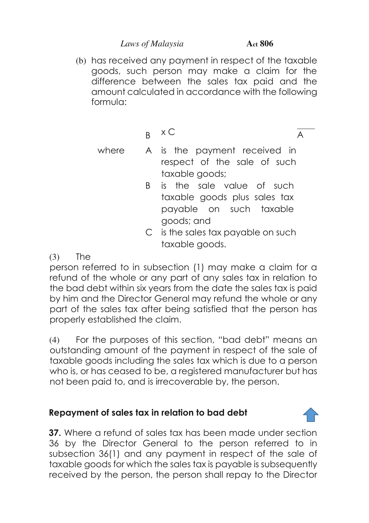(b) has received any payment in respect of the taxable goods, such person may make a claim for the difference between the sales tax paid and the amount calculated in accordance with the following formula:

 $B \times C$ 

A

- where A is the payment received in respect of the sale of such taxable goods;
	- B is the sale value of such taxable goods plus sales tax payable on such taxable goods; and
	- C is the sales tax payable on such taxable goods.
- $(3)$  The

person referred to in subsection (1) may make a claim for a refund of the whole or any part of any sales tax in relation to the bad debt within six years from the date the sales tax is paid by him and the Director General may refund the whole or any part of the sales tax after being satisfied that the person has properly established the claim.

(4) For the purposes of this section, "bad debt" means an outstanding amount of the payment in respect of the sale of taxable goods including the sales tax which is due to a person who is, or has ceased to be, a registered manufacturer but has not been paid to, and is irrecoverable by, the person.

# **Repayment of sales tax in relation to bad debt**

**37.** Where a refund of sales tax has been made under section 36 by the Director General to the person referred to in subsection 36(1) and any payment in respect of the sale of taxable goods for which the sales tax is payable is subsequently received by the person, the person shall repay to the Director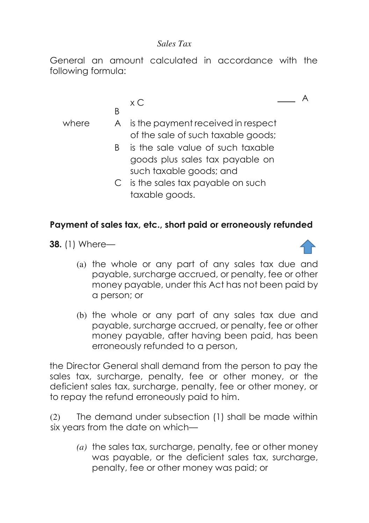General an amount calculated in accordance with the following formula:

$$
\times C
$$

B

- where A is the payment received in respect of the sale of such taxable goods;
	- B is the sale value of such taxable goods plus sales tax payable on such taxable goods; and
	- C is the sales tax payable on such taxable goods.

### **Payment of sales tax, etc., short paid or erroneously refunded**

**38.** (1) Where—



A

- (a) the whole or any part of any sales tax due and payable, surcharge accrued, or penalty, fee or other money payable, under this Act has not been paid by a person; or
- (b) the whole or any part of any sales tax due and payable, surcharge accrued, or penalty, fee or other money payable, after having been paid, has been erroneously refunded to a person,

the Director General shall demand from the person to pay the sales tax, surcharge, penalty, fee or other money, or the deficient sales tax, surcharge, penalty, fee or other money, or to repay the refund erroneously paid to him.

(2) The demand under subsection (1) shall be made within six years from the date on which—

*(a)* the sales tax, surcharge, penalty, fee or other money was payable, or the deficient sales tax, surcharge, penalty, fee or other money was paid; or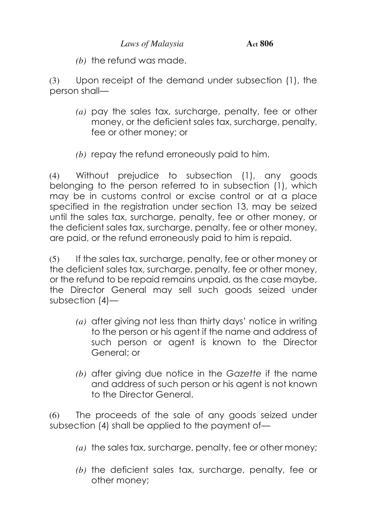*(b)* the refund was made.

(3) Upon receipt of the demand under subsection (1), the person shall—

- *(a)* pay the sales tax, surcharge, penalty, fee or other money, or the deficient sales tax, surcharge, penalty, fee or other money; or
- *(b)* repay the refund erroneously paid to him.

(4) Without prejudice to subsection (1), any goods belonging to the person referred to in subsection (1), which may be in customs control or excise control or at a place specified in the registration under section 13, may be seized until the sales tax, surcharge, penalty, fee or other money, or the deficient sales tax, surcharge, penalty, fee or other money, are paid, or the refund erroneously paid to him is repaid.

(5) If the sales tax, surcharge, penalty, fee or other money or the deficient sales tax, surcharge, penalty, fee or other money, or the refund to be repaid remains unpaid, as the case maybe, the Director General may sell such goods seized under subsection (4)—

- *(a)* after giving not less than thirty days' notice in writing to the person or his agent if the name and address of such person or agent is known to the Director General; or
- *(b)* after giving due notice in the *Gazette* if the name and address of such person or his agent is not known to the Director General.

(6) The proceeds of the sale of any goods seized under subsection (4) shall be applied to the payment of—

- *(a)* the sales tax, surcharge, penalty, fee or other money;
- *(b)* the deficient sales tax, surcharge, penalty, fee or other money;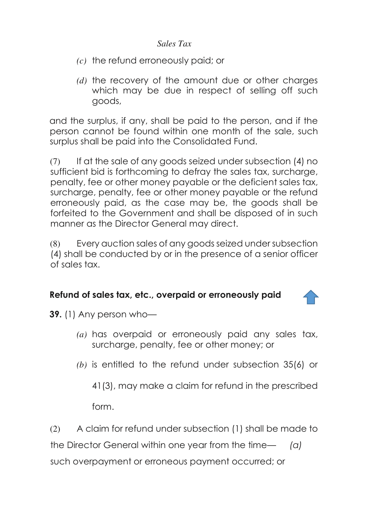- *(c)* the refund erroneously paid; or
- *(d)* the recovery of the amount due or other charges which may be due in respect of selling off such goods,

and the surplus, if any, shall be paid to the person, and if the person cannot be found within one month of the sale, such surplus shall be paid into the Consolidated Fund.

(7) If at the sale of any goods seized under subsection (4) no sufficient bid is forthcoming to defray the sales tax, surcharge, penalty, fee or other money payable or the deficient sales tax, surcharge, penalty, fee or other money payable or the refund erroneously paid, as the case may be, the goods shall be forfeited to the Government and shall be disposed of in such manner as the Director General may direct.

(8) Every auction sales of any goods seized under subsection (4) shall be conducted by or in the presence of a senior officer of sales tax.

#### **Refund of sales tax, etc., overpaid or erroneously paid**

**39.** (1) Any person who—

- *(a)* has overpaid or erroneously paid any sales tax, surcharge, penalty, fee or other money; or
- *(b)* is entitled to the refund under subsection 35(6) or

41(3), may make a claim for refund in the prescribed

form.

(2) A claim for refund under subsection (1) shall be made to

the Director General within one year from the time— *(a)*

such overpayment or erroneous payment occurred; or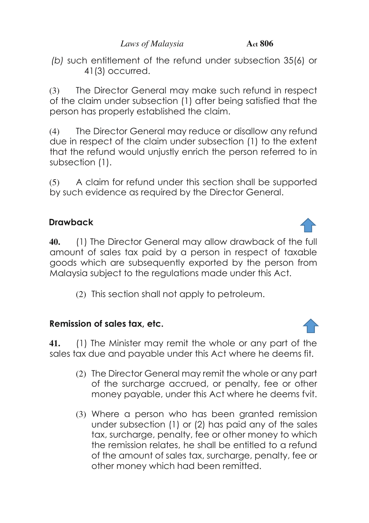*(b)* such entitlement of the refund under subsection 35(6) or 41(3) occurred.

(3) The Director General may make such refund in respect of the claim under subsection (1) after being satisfied that the person has properly established the claim.

(4) The Director General may reduce or disallow any refund due in respect of the claim under subsection (1) to the extent that the refund would unjustly enrich the person referred to in subsection (1).

(5) A claim for refund under this section shall be supported by such evidence as required by the Director General.

# **Drawback**

**40.** (1) The Director General may allow drawback of the full amount of sales tax paid by a person in respect of taxable goods which are subsequently exported by the person from Malaysia subject to the regulations made under this Act.

(2) This section shall not apply to petroleum.

# **Remission of sales tax, etc.**

**41.** (1) The Minister may remit the whole or any part of the sales tax due and payable under this Act where he deems fit.

- (2) The Director General may remit the whole or any part of the surcharge accrued, or penalty, fee or other money payable, under this Act where he deems fvit.
- (3) Where a person who has been granted remission under subsection (1) or (2) has paid any of the sales tax, surcharge, penalty, fee or other money to which the remission relates, he shall be entitled to a refund of the amount of sales tax, surcharge, penalty, fee or other money which had been remitted.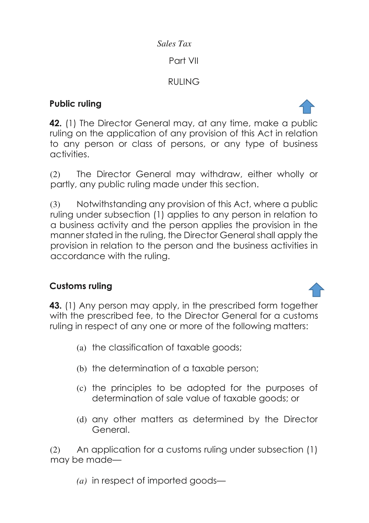### Part VII

# RULING

# **Public ruling**

**42.** (1) The Director General may, at any time, make a public ruling on the application of any provision of this Act in relation to any person or class of persons, or any type of business activities.

(2) The Director General may withdraw, either wholly or partly, any public ruling made under this section.

(3) Notwithstanding any provision of this Act, where a public ruling under subsection (1) applies to any person in relation to a business activity and the person applies the provision in the manner stated in the ruling, the Director General shall apply the provision in relation to the person and the business activities in accordance with the ruling.

# **Customs ruling**

**43.** (1) Any person may apply, in the prescribed form together with the prescribed fee, to the Director General for a customs ruling in respect of any one or more of the following matters:

- (a) the classification of taxable goods;
- (b) the determination of a taxable person;
- (c) the principles to be adopted for the purposes of determination of sale value of taxable goods; or
- (d) any other matters as determined by the Director General.

(2) An application for a customs ruling under subsection (1) may be made—

*(a)* in respect of imported goods—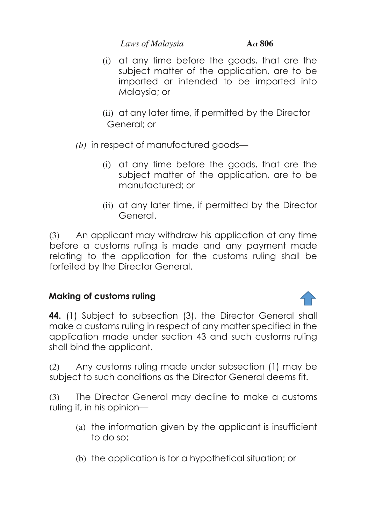- (i) at any time before the goods, that are the subject matter of the application, are to be imported or intended to be imported into Malaysia; or
- (ii) at any later time, if permitted by the Director General; or
- *(b)* in respect of manufactured goods—
	- (i) at any time before the goods, that are the subject matter of the application, are to be manufactured; or
	- (ii) at any later time, if permitted by the Director General.

(3) An applicant may withdraw his application at any time before a customs ruling is made and any payment made relating to the application for the customs ruling shall be forfeited by the Director General.

# **Making of customs ruling**

**44.** (1) Subject to subsection (3), the Director General shall make a customs ruling in respect of any matter specified in the application made under section 43 and such customs ruling shall bind the applicant.

(2) Any customs ruling made under subsection (1) may be subject to such conditions as the Director General deems fit.

(3) The Director General may decline to make a customs ruling if, in his opinion—

- (a) the information given by the applicant is insufficient to do so;
- (b) the application is for a hypothetical situation; or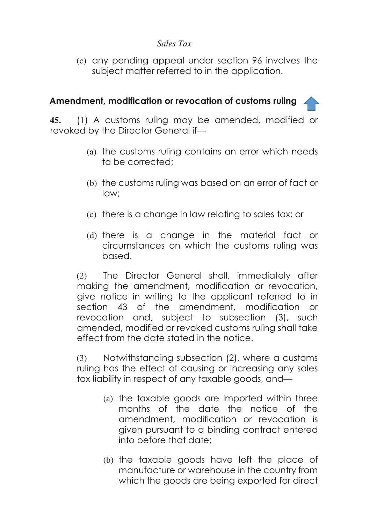(c) any pending appeal under section 96 involves the subject matter referred to in the application.

### **Amendment, modification or revocation of customs ruling**

**45.** (1) A customs ruling may be amended, modified or revoked by the Director General if—

- (a) the customs ruling contains an error which needs to be corrected;
- (b) the customs ruling was based on an error of fact or law;
- (c) there is a change in law relating to sales tax; or
- (d) there is a change in the material fact or circumstances on which the customs ruling was based.

(2) The Director General shall, immediately after making the amendment, modification or revocation, give notice in writing to the applicant referred to in section 43 of the amendment, modification or revocation and, subject to subsection (3), such amended, modified or revoked customs ruling shall take effect from the date stated in the notice.

(3) Notwithstanding subsection (2), where a customs ruling has the effect of causing or increasing any sales tax liability in respect of any taxable goods, and—

- (a) the taxable goods are imported within three months of the date the notice of the amendment, modification or revocation is given pursuant to a binding contract entered into before that date;
- (b) the taxable goods have left the place of manufacture or warehouse in the country from which the goods are being exported for direct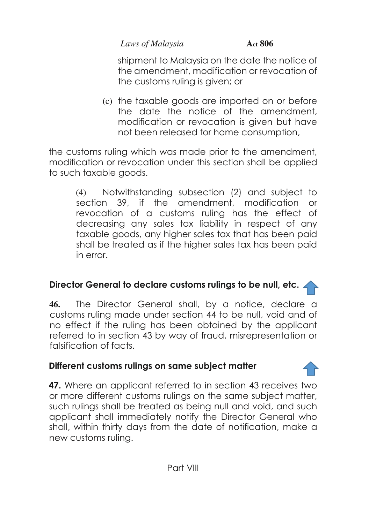shipment to Malaysia on the date the notice of the amendment, modification or revocation of the customs ruling is given; or

(c) the taxable goods are imported on or before the date the notice of the amendment, modification or revocation is given but have not been released for home consumption,

the customs ruling which was made prior to the amendment, modification or revocation under this section shall be applied to such taxable goods.

(4) Notwithstanding subsection (2) and subject to section 39, if the amendment, modification or revocation of a customs ruling has the effect of decreasing any sales tax liability in respect of any taxable goods, any higher sales tax that has been paid shall be treated as if the higher sales tax has been paid in error.

# **Director General to declare customs rulings to be null, etc.**

**46.** The Director General shall, by a notice, declare a customs ruling made under section 44 to be null, void and of no effect if the ruling has been obtained by the applicant referred to in section 43 by way of fraud, misrepresentation or falsification of facts.

# **Different customs rulings on same subject matter**

**47.** Where an applicant referred to in section 43 receives two or more different customs rulings on the same subject matter, such rulings shall be treated as being null and void, and such applicant shall immediately notify the Director General who shall, within thirty days from the date of notification, make a new customs ruling.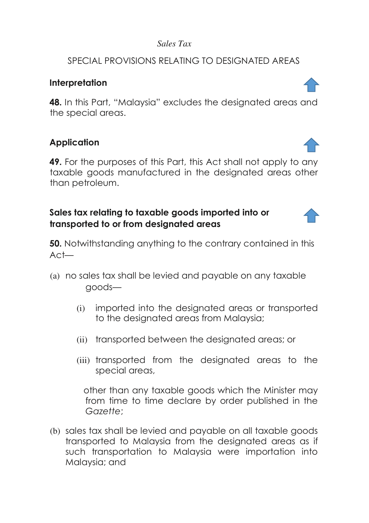### SPECIAL PROVISIONS RELATING TO DESIGNATED AREAS

#### **Interpretation**

**48.** In this Part, "Malaysia" excludes the designated areas and the special areas.

# **Application**

**49.** For the purposes of this Part, this Act shall not apply to any taxable goods manufactured in the designated areas other than petroleum.

### **Sales tax relating to taxable goods imported into or transported to or from designated areas**

**50.** Notwithstanding anything to the contrary contained in this Act—

- (a) no sales tax shall be levied and payable on any taxable goods—
	- (i) imported into the designated areas or transported to the designated areas from Malaysia;
	- (ii) transported between the designated areas; or
	- (iii) transported from the designated areas to the special areas,

 other than any taxable goods which the Minister may from time to time declare by order published in the *Gazette*;

(b) sales tax shall be levied and payable on all taxable goods transported to Malaysia from the designated areas as if such transportation to Malaysia were importation into Malaysia; and



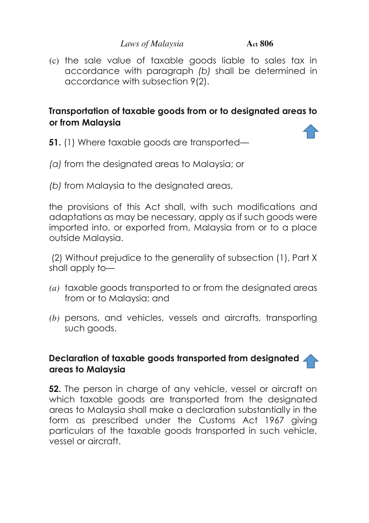(c) the sale value of taxable goods liable to sales tax in accordance with paragraph *(b)* shall be determined in accordance with subsection 9(2).

### **Transportation of taxable goods from or to designated areas to or from Malaysia**

- **51.** (1) Where taxable goods are transported—
- *(a)* from the designated areas to Malaysia; or
- *(b)* from Malaysia to the designated areas,

the provisions of this Act shall, with such modifications and adaptations as may be necessary, apply as if such goods were imported into, or exported from, Malaysia from or to a place outside Malaysia.

 (2) Without prejudice to the generality of subsection (1), Part X shall apply to—

- *(a)* taxable goods transported to or from the designated areas from or to Malaysia; and
- *(b)* persons, and vehicles, vessels and aircrafts, transporting such goods.

#### **Declaration of taxable goods transported from designated areas to Malaysia**

**52.** The person in charge of any vehicle, vessel or aircraft on which taxable goods are transported from the designated areas to Malaysia shall make a declaration substantially in the form as prescribed under the Customs Act 1967 giving particulars of the taxable goods transported in such vehicle, vessel or aircraft.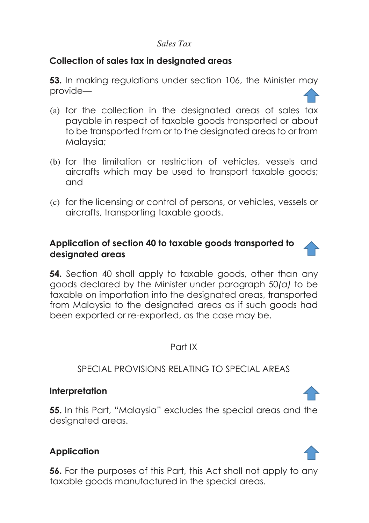### **Collection of sales tax in designated areas**

**53.** In making regulations under section 106, the Minister may provide—

- (a) for the collection in the designated areas of sales tax payable in respect of taxable goods transported or about to be transported from or to the designated areas to or from Malaysia;
- (b) for the limitation or restriction of vehicles, vessels and aircrafts which may be used to transport taxable goods; and
- (c) for the licensing or control of persons, or vehicles, vessels or aircrafts, transporting taxable goods.

### **Application of section 40 to taxable goods transported to designated areas**

**54.** Section 40 shall apply to taxable goods, other than any goods declared by the Minister under paragraph 50*(a)* to be taxable on importation into the designated areas, transported from Malaysia to the designated areas as if such goods had been exported or re-exported, as the case may be.

#### Part IX

#### SPECIAL PROVISIONS RELATING TO SPECIAL AREAS

#### **Interpretation**

**55.** In this Part, "Malaysia" excludes the special areas and the designated areas.

### **Application**

**56.** For the purposes of this Part, this Act shall not apply to any taxable goods manufactured in the special areas.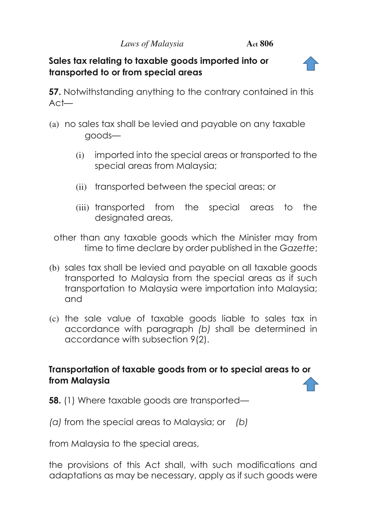#### **Sales tax relating to taxable goods imported into or transported to or from special areas**

**57.** Notwithstanding anything to the contrary contained in this Act—

- (a) no sales tax shall be levied and payable on any taxable goods—
	- (i) imported into the special areas or transported to the special areas from Malaysia;
	- (ii) transported between the special areas; or
	- (iii) transported from the special areas to the designated areas,

 other than any taxable goods which the Minister may from time to time declare by order published in the *Gazette*;

- (b) sales tax shall be levied and payable on all taxable goods transported to Malaysia from the special areas as if such transportation to Malaysia were importation into Malaysia; and
- (c) the sale value of taxable goods liable to sales tax in accordance with paragraph *(b)* shall be determined in accordance with subsection 9(2).

### **Transportation of taxable goods from or to special areas to or from Malaysia**

**58.** (1) Where taxable goods are transported—

 *(a)* from the special areas to Malaysia; or *(b)*

from Malaysia to the special areas,

the provisions of this Act shall, with such modifications and adaptations as may be necessary, apply as if such goods were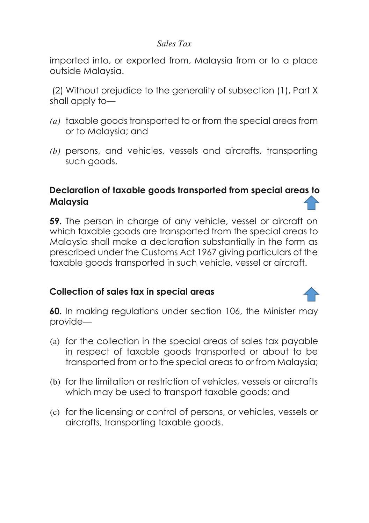imported into, or exported from, Malaysia from or to a place outside Malaysia.

 (2) Without prejudice to the generality of subsection (1), Part X shall apply to—

- *(a)* taxable goods transported to or from the special areas from or to Malaysia; and
- *(b)* persons, and vehicles, vessels and aircrafts, transporting such goods.

# **Declaration of taxable goods transported from special areas [to](#page-3-0) Malaysia**

**59.** The person in charge of any vehicle, vessel or aircraft on which taxable goods are transported from the special areas to Malaysia shall make a declaration substantially in the form as prescribed under the Customs Act 1967 giving particulars of the taxable goods transported in such vehicle, vessel or aircraft.

### **Collection of sales tax in special areas**

**60.** In making regulations under section 106, the Minister may provide—

- (a) for the collection in the special areas of sales tax payable in respect of taxable goods transported or about to be transported from or to the special areas to or from Malaysia;
- (b) for the limitation or restriction of vehicles, vessels or aircrafts which may be used to transport taxable goods; and
- (c) for the licensing or control of persons, or vehicles, vessels or aircrafts, transporting taxable goods.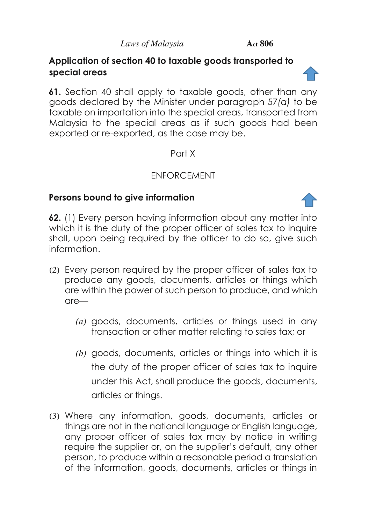### **Application of section 40 to taxable goods transported to special areas**

**61.** Section 40 shall apply to taxable goods, other than any goods declared by the Minister under paragraph 57*(a)* to be taxable on importation into the special areas, transported from Malaysia to the special areas as if such goods had been exported or re-exported, as the case may be.

### Part X

### ENFORCEMENT

### **Persons bound to give information**

**62.** (1) Every person having information about any matter into which it is the duty of the proper officer of sales tax to inquire shall, upon being required by the officer to do so, give such information.

- (2) Every person required by the proper officer of sales tax to produce any goods, documents, articles or things which are within the power of such person to produce, and which are—
	- *(a)* goods, documents, articles or things used in any transaction or other matter relating to sales tax; or
	- *(b)* goods, documents, articles or things into which it is the duty of the proper officer of sales tax to inquire under this Act, shall produce the goods, documents, articles or things.
- (3) Where any information, goods, documents, articles or things are not in the national language or English language, any proper officer of sales tax may by notice in writing require the supplier or, on the supplier's default, any other person, to produce within a reasonable period a translation of the information, goods, documents, articles or things in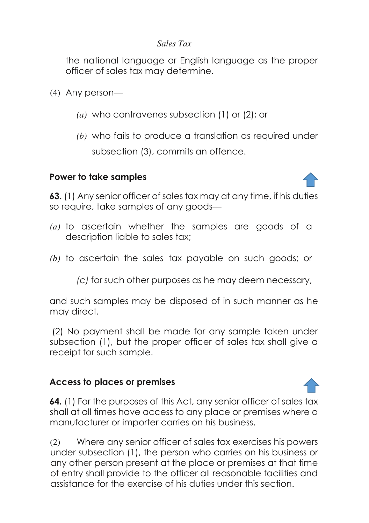the national language or English language as the proper officer of sales tax may determine.

(4) Any person—

- *(a)* who contravenes subsection (1) or (2); or
- *(b)* who fails to produce a translation as required under subsection (3), commits an offence.

### **Power to take samples**



**63.** (1) Any senior officer of sales tax may at any time, if his duties so require, take samples of any goods—

- *(a)* to ascertain whether the samples are goods of a description liable to sales tax;
- *(b)* to ascertain the sales tax payable on such goods; or

 *(c)* for such other purposes as he may deem necessary,

and such samples may be disposed of in such manner as he may direct.

 (2) No payment shall be made for any sample taken under subsection (1), but the proper officer of sales tax shall give a receipt for such sample.

### **Access to places or premises**

**64.** (1) For the purposes of this Act, any senior officer of sales tax shall at all times have access to any place or premises where a manufacturer or importer carries on his business.

(2) Where any senior officer of sales tax exercises his powers under subsection (1), the person who carries on his business or any other person present at the place or premises at that time of entry shall provide to the officer all reasonable facilities and assistance for the exercise of his duties under this section.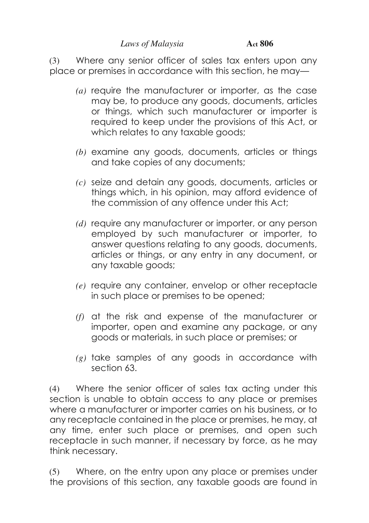(3) Where any senior officer of sales tax enters upon any place or premises in accordance with this section, he may—

- *(a)* require the manufacturer or importer, as the case may be, to produce any goods, documents, articles or things, which such manufacturer or importer is required to keep under the provisions of this Act, or which relates to any taxable goods;
- *(b)* examine any goods, documents, articles or things and take copies of any documents;
- *(c)* seize and detain any goods, documents, articles or things which, in his opinion, may afford evidence of the commission of any offence under this Act;
- *(d)* require any manufacturer or importer, or any person employed by such manufacturer or importer, to answer questions relating to any goods, documents, articles or things, or any entry in any document, or any taxable goods;
- *(e)* require any container, envelop or other receptacle in such place or premises to be opened;
- *(f)* at the risk and expense of the manufacturer or importer, open and examine any package, or any goods or materials, in such place or premises; or
- *(g)* take samples of any goods in accordance with section 63.

(4) Where the senior officer of sales tax acting under this section is unable to obtain access to any place or premises where a manufacturer or importer carries on his business, or to any receptacle contained in the place or premises, he may, at any time, enter such place or premises, and open such receptacle in such manner, if necessary by force, as he may think necessary.

(5) Where, on the entry upon any place or premises under the provisions of this section, any taxable goods are found in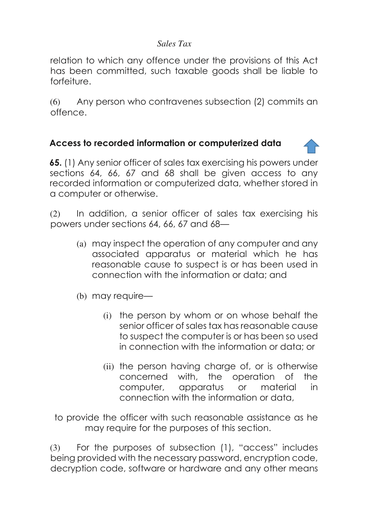relation to which any offence under the provisions of this Act has been committed, such taxable goods shall be liable to forfeiture.

(6) Any person who contravenes subsection (2) commits an offence.

### **Access to recorded information or computerized data**

**65.** (1) Any senior officer of sales tax exercising his powers under sections 64, 66, 67 and 68 shall be given access to any recorded information or computerized data, whether stored in a computer or otherwise.

(2) In addition, a senior officer of sales tax exercising his powers under sections 64, 66, 67 and 68—

- (a) may inspect the operation of any computer and any associated apparatus or material which he has reasonable cause to suspect is or has been used in connection with the information or data; and
- (b) may require—
	- (i) the person by whom or on whose behalf the senior officer of sales tax has reasonable cause to suspect the computer is or has been so used in connection with the information or data; or
	- (ii) the person having charge of, or is otherwise concerned with, the operation of the computer, apparatus or material in connection with the information or data,

 to provide the officer with such reasonable assistance as he may require for the purposes of this section.

(3) For the purposes of subsection (1), "access" includes being provided with the necessary password, encryption code, decryption code, software or hardware and any other means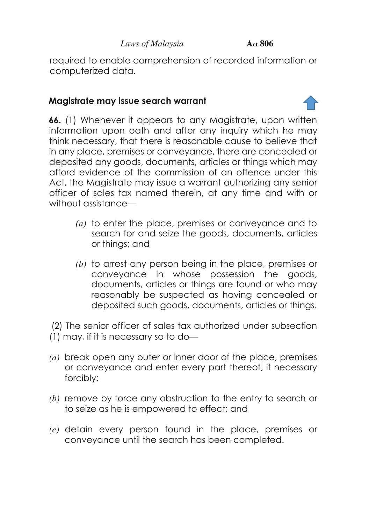required to enable comprehension of recorded information or computerized data.

## **Magistrate may issue search warrant**

**66.** (1) Whenever it appears to any Magistrate, upon written information upon oath and after any inquiry which he may think necessary, that there is reasonable cause to believe that in any place, premises or conveyance, there are concealed or deposited any goods, documents, articles or things which may afford evidence of the commission of an offence under this Act, the Magistrate may issue a warrant authorizing any senior officer of sales tax named therein, at any time and with or without assistance—

- *(a)* to enter the place, premises or conveyance and to search for and seize the goods, documents, articles or things; and
- *(b)* to arrest any person being in the place, premises or conveyance in whose possession the goods, documents, articles or things are found or who may reasonably be suspected as having concealed or deposited such goods, documents, articles or things.

 (2) The senior officer of sales tax authorized under subsection (1) may, if it is necessary so to do—

- *(a)* break open any outer or inner door of the place, premises or conveyance and enter every part thereof, if necessary forcibly;
- *(b)* remove by force any obstruction to the entry to search or to seize as he is empowered to effect; and
- *(c)* detain every person found in the place, premises or conveyance until the search has been completed.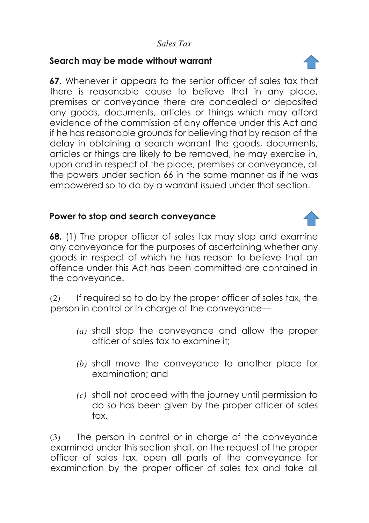#### **Search may be made without warrant**

**67.** Whenever it appears to the senior officer of sales tax that there is reasonable cause to believe that in any place, premises or conveyance there are concealed or deposited any goods, documents, articles or things which may afford evidence of the commission of any offence under this Act and if he has reasonable grounds for believing that by reason of the delay in obtaining a search warrant the goods, documents, articles or things are likely to be removed, he may exercise in, upon and in respect of the place, premises or conveyance, all the powers under section 66 in the same manner as if he was empowered so to do by a warrant issued under that section.

### **Power to stop and search conveyance**

**68.** (1) The proper officer of sales tax may stop and examine any conveyance for the purposes of ascertaining whether any goods in respect of which he has reason to believe that an offence under this Act has been committed are contained in the conveyance.

(2) If required so to do by the proper officer of sales tax, the person in control or in charge of the conveyance—

- *(a)* shall stop the conveyance and allow the proper officer of sales tax to examine it;
- *(b)* shall move the conveyance to another place for examination; and
- *(c)* shall not proceed with the journey until permission to do so has been given by the proper officer of sales tax.

(3) The person in control or in charge of the conveyance examined under this section shall, on the request of the proper officer of sales tax, open all parts of the conveyance for examination by the proper officer of sales tax and take all

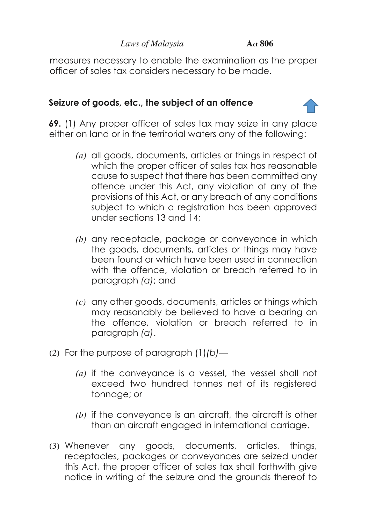measures necessary to enable the examination as the proper officer of sales tax considers necessary to be made.

#### **Seizure of goods, etc., the subject of an offence**

**69.** (1) Any proper officer of sales tax may seize in any place either on land or in the territorial waters any of the following:

- *(a)* all goods, documents, articles or things in respect of which the proper officer of sales tax has reasonable cause to suspect that there has been committed any offence under this Act, any violation of any of the provisions of this Act, or any breach of any conditions subject to which a registration has been approved under sections 13 and 14;
- *(b)* any receptacle, package or conveyance in which the goods, documents, articles or things may have been found or which have been used in connection with the offence, violation or breach referred to in paragraph *(a)*; and
- *(c)* any other goods, documents, articles or things which may reasonably be believed to have a bearing on the offence, violation or breach referred to in paragraph *(a)*.
- (2) For the purpose of paragraph (1)*(b)*
	- *(a)* if the conveyance is a vessel, the vessel shall not exceed two hundred tonnes net of its registered tonnage; or
	- *(b)* if the conveyance is an aircraft, the aircraft is other than an aircraft engaged in international carriage.
- (3) Whenever any goods, documents, articles, things, receptacles, packages or conveyances are seized under this Act, the proper officer of sales tax shall forthwith give notice in writing of the seizure and the grounds thereof to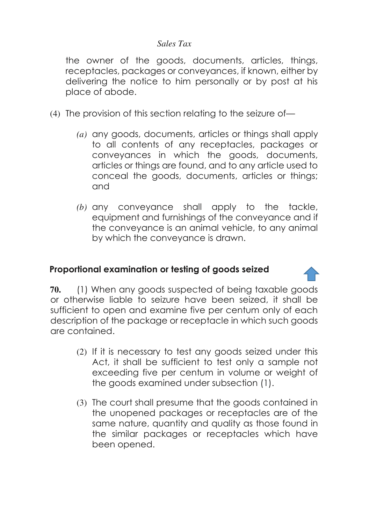the owner of the goods, documents, articles, things, receptacles, packages or conveyances, if known, either by delivering the notice to him personally or by post at his place of abode.

- (4) The provision of this section relating to the seizure of—
	- *(a)* any goods, documents, articles or things shall apply to all contents of any receptacles, packages or conveyances in which the goods, documents, articles or things are found, and to any article used to conceal the goods, documents, articles or things; and
	- *(b)* any conveyance shall apply to the tackle, equipment and furnishings of the conveyance and if the conveyance is an animal vehicle, to any animal by which the conveyance is drawn.

### **Proportional examination or testing of goods seized**

**70.** (1) When any goods suspected of being taxable goods or otherwise liable to seizure have been seized, it shall be sufficient to open and examine five per centum only of each description of the package or receptacle in which such goods are contained.

- (2) If it is necessary to test any goods seized under this Act, it shall be sufficient to test only a sample not exceeding five per centum in volume or weight of the goods examined under subsection (1).
- (3) The court shall presume that the goods contained in the unopened packages or receptacles are of the same nature, quantity and quality as those found in the similar packages or receptacles which have been opened.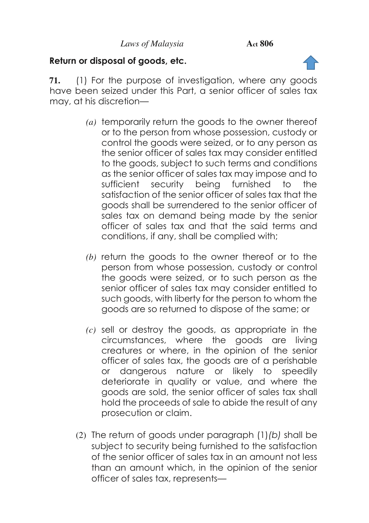### **Return or disposal of goods, etc.**

**71.** (1) For the purpose of investigation, where any goods have been seized under this Part, a senior officer of sales tax may, at his discretion—

- *(a)* temporarily return the goods to the owner thereof or to the person from whose possession, custody or control the goods were seized, or to any person as the senior officer of sales tax may consider entitled to the goods, subject to such terms and conditions as the senior officer of sales tax may impose and to sufficient security being furnished to the satisfaction of the senior officer of sales tax that the goods shall be surrendered to the senior officer of sales tax on demand being made by the senior officer of sales tax and that the said terms and conditions, if any, shall be complied with;
- *(b)* return the goods to the owner thereof or to the person from whose possession, custody or control the goods were seized, or to such person as the senior officer of sales tax may consider entitled to such goods, with liberty for the person to whom the goods are so returned to dispose of the same; or
- *(c)* sell or destroy the goods, as appropriate in the circumstances, where the goods are living creatures or where, in the opinion of the senior officer of sales tax, the goods are of a perishable or dangerous nature or likely to speedily deteriorate in quality or value, and where the goods are sold, the senior officer of sales tax shall hold the proceeds of sale to abide the result of any prosecution or claim.
- (2) The return of goods under paragraph (1)*(b)* shall be subject to security being furnished to the satisfaction of the senior officer of sales tax in an amount not less than an amount which, in the opinion of the senior officer of sales tax, represents—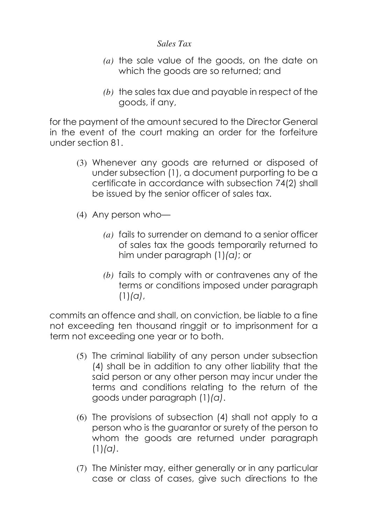- *(a)* the sale value of the goods, on the date on which the goods are so returned; and
- *(b)* the sales tax due and payable in respect of the goods, if any,

for the payment of the amount secured to the Director General in the event of the court making an order for the forfeiture under section 81.

- (3) Whenever any goods are returned or disposed of under subsection (1), a document purporting to be a certificate in accordance with subsection 74(2) shall be issued by the senior officer of sales tax.
- (4) Any person who—
	- *(a)* fails to surrender on demand to a senior officer of sales tax the goods temporarily returned to him under paragraph (1)*(a)*; or
	- *(b)* fails to comply with or contravenes any of the terms or conditions imposed under paragraph (1)*(a)*,

commits an offence and shall, on conviction, be liable to a fine not exceeding ten thousand ringgit or to imprisonment for a term not exceeding one year or to both.

- (5) The criminal liability of any person under subsection (4) shall be in addition to any other liability that the said person or any other person may incur under the terms and conditions relating to the return of the goods under paragraph (1)*(a)*.
- (6) The provisions of subsection (4) shall not apply to a person who is the guarantor or surety of the person to whom the goods are returned under paragraph (1)*(a)*.
- (7) The Minister may, either generally or in any particular case or class of cases, give such directions to the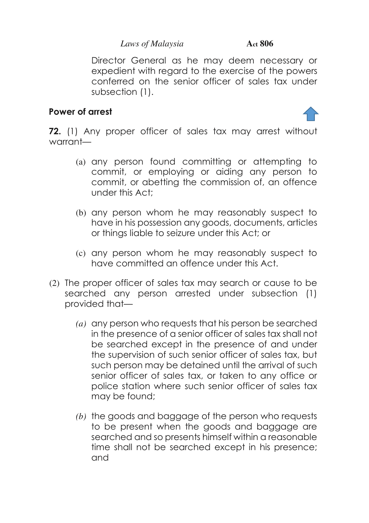Director General as he may deem necessary or expedient with regard to the exercise of the powers conferred on the senior officer of sales tax under subsection (1).

## **Power of arrest**



**72.** (1) Any proper officer of sales tax may arrest without warrant—

- (a) any person found committing or attempting to commit, or employing or aiding any person to commit, or abetting the commission of, an offence under this Act;
- (b) any person whom he may reasonably suspect to have in his possession any goods, documents, articles or things liable to seizure under this Act; or
- (c) any person whom he may reasonably suspect to have committed an offence under this Act.
- (2) The proper officer of sales tax may search or cause to be searched any person arrested under subsection (1) provided that—
	- *(a)* any person who requests that his person be searched in the presence of a senior officer of sales tax shall not be searched except in the presence of and under the supervision of such senior officer of sales tax, but such person may be detained until the arrival of such senior officer of sales tax, or taken to any office or police station where such senior officer of sales tax may be found;
	- *(b)* the goods and baggage of the person who requests to be present when the goods and baggage are searched and so presents himself within a reasonable time shall not be searched except in his presence; and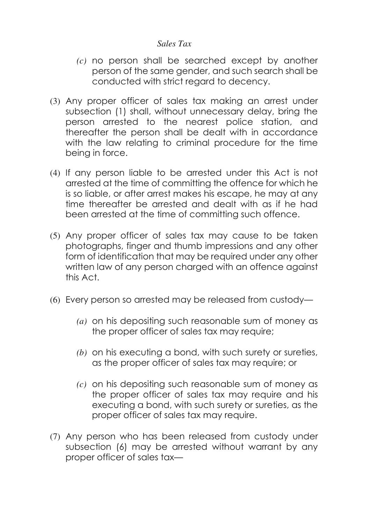- *(c)* no person shall be searched except by another person of the same gender, and such search shall be conducted with strict regard to decency.
- (3) Any proper officer of sales tax making an arrest under subsection (1) shall, without unnecessary delay, bring the person arrested to the nearest police station, and thereafter the person shall be dealt with in accordance with the law relating to criminal procedure for the time being in force.
- (4) If any person liable to be arrested under this Act is not arrested at the time of committing the offence for which he is so liable, or after arrest makes his escape, he may at any time thereafter be arrested and dealt with as if he had been arrested at the time of committing such offence.
- (5) Any proper officer of sales tax may cause to be taken photographs, finger and thumb impressions and any other form of identification that may be required under any other written law of any person charged with an offence against this Act.
- (6) Every person so arrested may be released from custody—
	- *(a)* on his depositing such reasonable sum of money as the proper officer of sales tax may require;
	- *(b)* on his executing a bond, with such surety or sureties, as the proper officer of sales tax may require; or
	- *(c)* on his depositing such reasonable sum of money as the proper officer of sales tax may require and his executing a bond, with such surety or sureties, as the proper officer of sales tax may require.
- (7) Any person who has been released from custody under subsection (6) may be arrested without warrant by any proper officer of sales tax—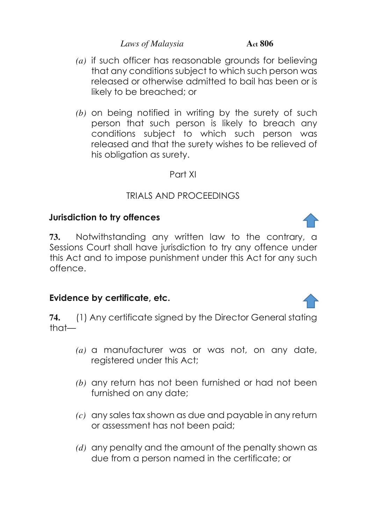- *(a)* if such officer has reasonable grounds for believing that any conditions subject to which such person was released or otherwise admitted to bail has been or is likely to be breached; or
- *(b)* on being notified in writing by the surety of such person that such person is likely to breach any conditions subject to which such person was released and that the surety wishes to be relieved of his obligation as surety.

### Part XI

# TRIALS AND PROCEEDINGS

# **Jurisdiction to try offences**

**73.** Notwithstanding any written law to the contrary, a Sessions Court shall have jurisdiction to try any offence under this Act and to impose punishment under this Act for any such offence.

# **Evidence by certificate, etc.**

**74.** (1) Any certificate signed by the Director General stating that—

- *(a)* a manufacturer was or was not, on any date, registered under this Act;
- *(b)* any return has not been furnished or had not been furnished on any date;
- *(c)* any sales tax shown as due and payable in any return or assessment has not been paid;
- *(d)* any penalty and the amount of the penalty shown as due from a person named in the certificate; or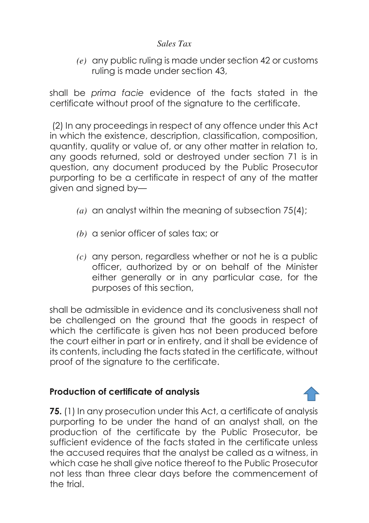*(e)* any public ruling is made under section 42 or customs ruling is made under section 43,

shall be *prima facie* evidence of the facts stated in the certificate without proof of the signature to the certificate.

 (2) In any proceedings in respect of any offence under this Act in which the existence, description, classification, composition, quantity, quality or value of, or any other matter in relation to, any goods returned, sold or destroyed under section 71 is in question, any document produced by the Public Prosecutor purporting to be a certificate in respect of any of the matter given and signed by—

- *(a)* an analyst within the meaning of subsection 75(4);
- *(b)* a senior officer of sales tax; or
- *(c)* any person, regardless whether or not he is a public officer, authorized by or on behalf of the Minister either generally or in any particular case, for the purposes of this section,

shall be admissible in evidence and its conclusiveness shall not be challenged on the ground that the goods in respect of which the certificate is given has not been produced before the court either in part or in entirety, and it shall be evidence of its contents, including the facts stated in the certificate, without proof of the signature to the certificate.

# **Production of certificate of analysis**

**75.** (1) In any prosecution under this Act, a certificate of analysis purporting to be under the hand of an analyst shall, on the production of the certificate by the Public Prosecutor, be sufficient evidence of the facts stated in the certificate unless the accused requires that the analyst be called as a witness, in which case he shall give notice thereof to the Public Prosecutor not less than three clear days before the commencement of the trial.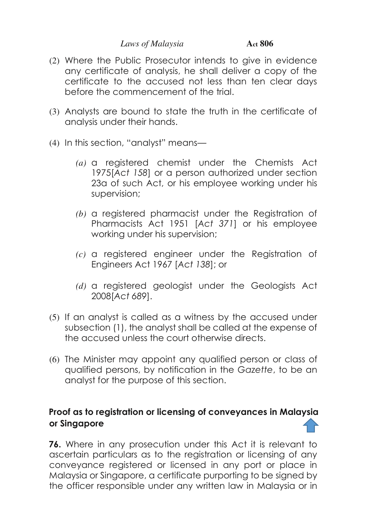- (2) Where the Public Prosecutor intends to give in evidence any certificate of analysis, he shall deliver a copy of the certificate to the accused not less than ten clear days before the commencement of the trial.
- (3) Analysts are bound to state the truth in the certificate of analysis under their hands.
- (4) In this section, "analyst" means—
	- *(a)* a registered chemist under the Chemists Act 1975[*Act 158*] or a person authorized under section 23a of such Act, or his employee working under his supervision;
	- *(b)* a registered pharmacist under the Registration of Pharmacists Act 1951 [*Act 371*] or his employee working under his supervision;
	- *(c)* a registered engineer under the Registration of Engineers Act 1967 [*Act 138*]; or
	- *(d)* a registered geologist under the Geologists Act 2008[*Act 689*].
- (5) If an analyst is called as a witness by the accused under subsection (1), the analyst shall be called at the expense of the accused unless the court otherwise directs.
- (6) The Minister may appoint any qualified person or class of qualified persons, by notification in the *Gazette*, to be an analyst for the purpose of this section.

# **Proof as to registration or licensing of conveyances in Malaysia or Singapore**

**76.** Where in any prosecution under this Act it is relevant to ascertain particulars as to the registration or licensing of any conveyance registered or licensed in any port or place in Malaysia or Singapore, a certificate purporting to be signed by the officer responsible under any written law in Malaysia or in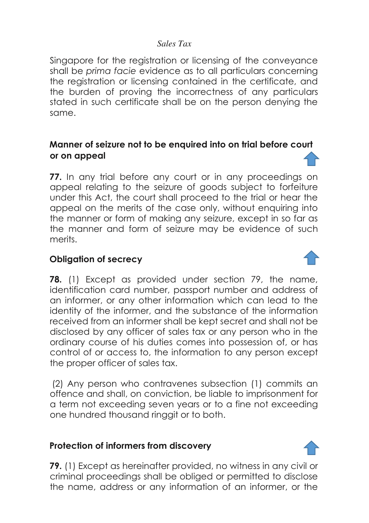Singapore for the registration or licensing of the conveyance shall be *prima facie* evidence as to all particulars concerning the registration or licensing contained in the certificate, and the burden of proving the incorrectness of any particulars stated in such certificate shall be on the person denying the same.

#### **Manner of seizure not to be enquired into on trial before court or on appeal**

**77.** In any trial before any court or in any proceedings on appeal relating to the seizure of goods subject to forfeiture under this Act, the court shall proceed to the trial or hear the appeal on the merits of the case only, without enquiring into the manner or form of making any seizure, except in so far as the manner and form of seizure may be evidence of such merits.

## **Obligation of secrecy**

**78.** (1) Except as provided under section 79, the name, identification card number, passport number and address of an informer, or any other information which can lead to the identity of the informer, and the substance of the information received from an informer shall be kept secret and shall not be disclosed by any officer of sales tax or any person who in the ordinary course of his duties comes into possession of, or has control of or access to, the information to any person except the proper officer of sales tax.

 (2) Any person who contravenes subsection (1) commits an offence and shall, on conviction, be liable to imprisonment for a term not exceeding seven years or to a fine not exceeding one hundred thousand ringgit or to both.

## **Protection of informers from discovery**

**79.** (1) Except as hereinafter provided, no witness in any civil or criminal proceedings shall be obliged or permitted to disclose the name, address or any information of an informer, or the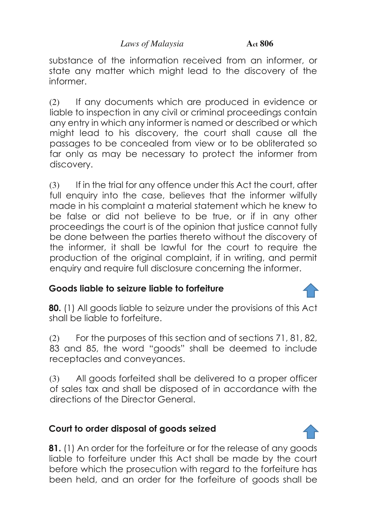substance of the information received from an informer, or state any matter which might lead to the discovery of the informer.

(2) If any documents which are produced in evidence or liable to inspection in any civil or criminal proceedings contain any entry in which any informer is named or described or which might lead to his discovery, the court shall cause all the passages to be concealed from view or to be obliterated so far only as may be necessary to protect the informer from discovery.

(3) If in the trial for any offence under this Act the court, after full enquiry into the case, believes that the informer wilfully made in his complaint a material statement which he knew to be false or did not believe to be true, or if in any other proceedings the court is of the opinion that justice cannot fully be done between the parties thereto without the discovery of the informer, it shall be lawful for the court to require the production of the original complaint, if in writing, and permit enquiry and require full disclosure concerning the informer.

# **Goods liable to seizure liable to forfeiture**

**80.** (1) All goods liable to seizure under the provisions of this Act shall be liable to forfeiture.

(2) For the purposes of this section and of sections 71, 81, 82, 83 and 85, the word "goods" shall be deemed to include receptacles and conveyances.

(3) All goods forfeited shall be delivered to a proper officer of sales tax and shall be disposed of in accordance with the directions of the Director General.

# **Court to order disposal of goods seized**

**81.** (1) An order for the forfeiture or for the release of any goods liable to forfeiture under this Act shall be made by the court before which the prosecution with regard to the forfeiture has been held, and an order for the forfeiture of goods shall be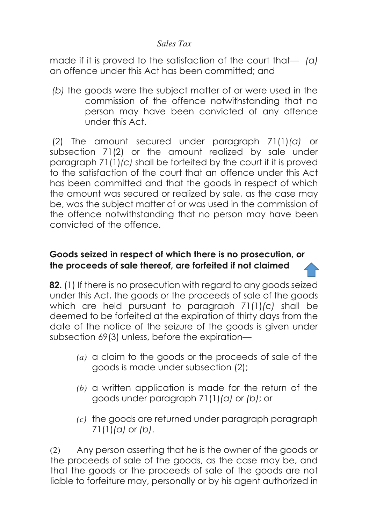made if it is proved to the satisfaction of the court that— *(a)*  an offence under this Act has been committed; and

 *(b)* the goods were the subject matter of or were used in the commission of the offence notwithstanding that no person may have been convicted of any offence under this Act.

 (2) The amount secured under paragraph 71(1)*(a)* or subsection 71(2) or the amount realized by sale under paragraph 71(1)*(c)* shall be forfeited by the court if it is proved to the satisfaction of the court that an offence under this Act has been committed and that the goods in respect of which the amount was secured or realized by sale, as the case may be, was the subject matter of or was used in the commission of the offence notwithstanding that no person may have been convicted of the offence.

# **Goods seized in respect of which there is no prosecution, or the proceeds of sale thereof, are forfeited if not claimed**

**82.** (1) If there is no prosecution with regard to any goods seized under this Act, the goods or the proceeds of sale of the goods which are held pursuant to paragraph 71(1)*(c)* shall be deemed to be forfeited at the expiration of thirty days from the date of the notice of the seizure of the goods is given under subsection 69(3) unless, before the expiration—

- *(a)* a claim to the goods or the proceeds of sale of the goods is made under subsection (2);
- *(b)* a written application is made for the return of the goods under paragraph 71(1)*(a)* or *(b)*; or
- *(c)* the goods are returned under paragraph paragraph 71(1)*(a)* or *(b)*.

(2) Any person asserting that he is the owner of the goods or the proceeds of sale of the goods, as the case may be, and that the goods or the proceeds of sale of the goods are not liable to forfeiture may, personally or by his agent authorized in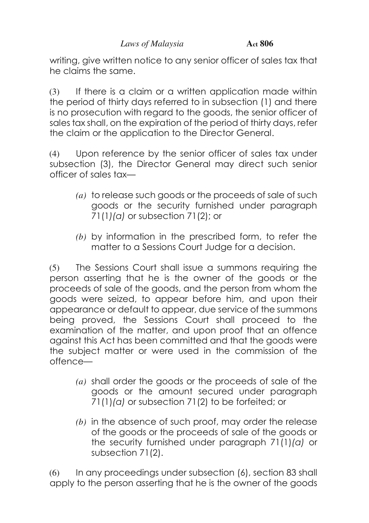writing, give written notice to any senior officer of sales tax that he claims the same.

(3) If there is a claim or a written application made within the period of thirty days referred to in subsection (1) and there is no prosecution with regard to the goods, the senior officer of sales tax shall, on the expiration of the period of thirty days, refer the claim or the application to the Director General.

(4) Upon reference by the senior officer of sales tax under subsection (3), the Director General may direct such senior officer of sales tax—

- *(a)* to release such goods or the proceeds of sale of such goods or the security furnished under paragraph 71(1*)(a)* or subsection 71(2); or
- *(b)* by information in the prescribed form, to refer the matter to a Sessions Court Judge for a decision.

(5) The Sessions Court shall issue a summons requiring the person asserting that he is the owner of the goods or the proceeds of sale of the goods, and the person from whom the goods were seized, to appear before him, and upon their appearance or default to appear, due service of the summons being proved, the Sessions Court shall proceed to the examination of the matter, and upon proof that an offence against this Act has been committed and that the goods were the subject matter or were used in the commission of the offence—

- *(a)* shall order the goods or the proceeds of sale of the goods or the amount secured under paragraph 71(1)*(a)* or subsection 71(2) to be forfeited; or
- *(b)* in the absence of such proof, may order the release of the goods or the proceeds of sale of the goods or the security furnished under paragraph 71(1)*(a)* or subsection 71(2).

(6) In any proceedings under subsection (6), section 83 shall apply to the person asserting that he is the owner of the goods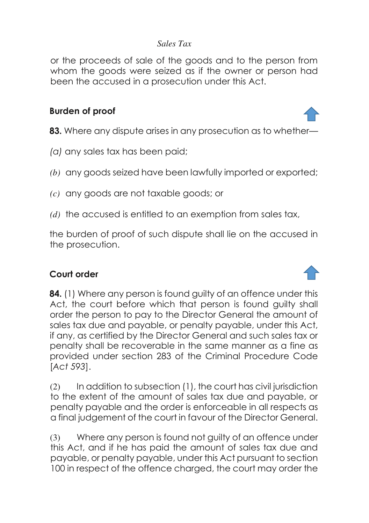or the proceeds of sale of the goods and to the person from whom the goods were seized as if the owner or person had been the accused in a prosecution under this Act.

#### **Burden of proof**

- **83.** Where any dispute arises in any prosecution as to whether—
- *(a)* any sales tax has been paid;
- *(b)* any goods seized have been lawfully imported or exported;
- *(c)* any goods are not taxable goods; or
- *(d)* the accused is entitled to an exemption from sales tax,

the burden of proof of such dispute shall lie on the accused in the prosecution.

#### **Court order**

**84.** (1) Where any person is found quilty of an offence under this Act, the court before which that person is found quilty shall order the person to pay to the Director General the amount of sales tax due and payable, or penalty payable, under this Act, if any, as certified by the Director General and such sales tax or penalty shall be recoverable in the same manner as a fine as provided under section 283 of the Criminal Procedure Code [*Act 593*].

(2) In addition to subsection (1), the court has civil jurisdiction to the extent of the amount of sales tax due and payable, or penalty payable and the order is enforceable in all respects as a final judgement of the court in favour of the Director General.

(3) Where any person is found not guilty of an offence under this Act, and if he has paid the amount of sales tax due and payable, or penalty payable, under this Act pursuant to section 100 in respect of the offence charged, the court may order the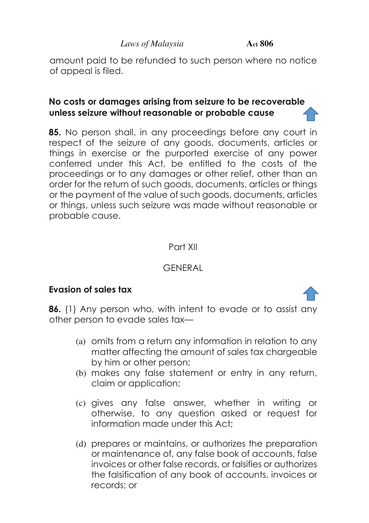amount paid to be refunded to such person where no notice of appeal is filed.

## **No costs or damages arising from seizure to be recoverable unless seizure without reasonable or probable cause**

**85.** No person shall, in any proceedings before any court in respect of the seizure of any goods, documents, articles or things in exercise or the purported exercise of any power conferred under this Act, be entitled to the costs of the proceedings or to any damages or other relief, other than an order for the return of such goods, documents, articles or things or the payment of the value of such goods, documents, articles or things, unless such seizure was made without reasonable or probable cause.

## Part XII

# GENERAL

# **Evasion of sales tax**



- (a) omits from a return any information in relation to any matter affecting the amount of sales tax chargeable by him or other person;
- (b) makes any false statement or entry in any return, claim or application;
- (c) gives any false answer, whether in writing or otherwise, to any question asked or request for information made under this Act;
- (d) prepares or maintains, or authorizes the preparation or maintenance of, any false book of accounts, false invoices or other false records, or falsifies or authorizes the falsification of any book of accounts, invoices or records; or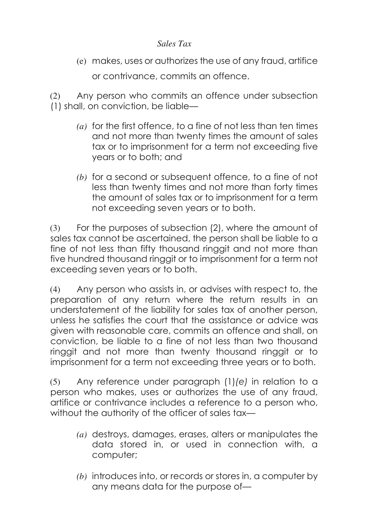(e) makes, uses or authorizes the use of any fraud, artifice

or contrivance, commits an offence.

(2) Any person who commits an offence under subsection (1) shall, on conviction, be liable—

- *(a)* for the first offence, to a fine of not less than ten times and not more than twenty times the amount of sales tax or to imprisonment for a term not exceeding five years or to both; and
- *(b)* for a second or subsequent offence, to a fine of not less than twenty times and not more than forty times the amount of sales tax or to imprisonment for a term not exceeding seven years or to both.

(3) For the purposes of subsection (2), where the amount of sales tax cannot be ascertained, the person shall be liable to a fine of not less than fifty thousand ringgit and not more than five hundred thousand ringgit or to imprisonment for a term not exceeding seven years or to both.

(4) Any person who assists in, or advises with respect to, the preparation of any return where the return results in an understatement of the liability for sales tax of another person, unless he satisfies the court that the assistance or advice was given with reasonable care, commits an offence and shall, on conviction, be liable to a fine of not less than two thousand ringgit and not more than twenty thousand ringgit or to imprisonment for a term not exceeding three years or to both.

(5) Any reference under paragraph (1)*(e)* in relation to a person who makes, uses or authorizes the use of any fraud, artifice or contrivance includes a reference to a person who, without the authority of the officer of sales tax—

- *(a)* destroys, damages, erases, alters or manipulates the data stored in, or used in connection with, a computer;
- *(b)* introduces into, or records or stores in, a computer by any means data for the purpose of—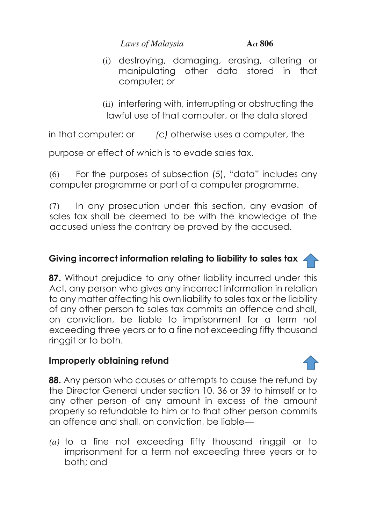(i) destroying, damaging, erasing, altering or manipulating other data stored in that computer; or

(ii) interfering with, interrupting or obstructing the lawful use of that computer, or the data stored

in that computer; or *(c)* otherwise uses a computer, the

purpose or effect of which is to evade sales tax.

(6) For the purposes of subsection (5), "data" includes any computer programme or part of a computer programme.

(7) In any prosecution under this section, any evasion of sales tax shall be deemed to be with the knowledge of the accused unless the contrary be proved by the accused.

# **Giving incorrect information relating to liability to sales tax**

**87.** Without prejudice to any other liability incurred under this Act, any person who gives any incorrect information in relation to any matter affecting his own liability to sales tax or the liability of any other person to sales tax commits an offence and shall, on conviction, be liable to imprisonment for a term not exceeding three years or to a fine not exceeding fifty thousand ringgit or to both.

# **Improperly obtaining refund**

**88.** Any person who causes or attempts to cause the refund by the Director General under section 10, 36 or 39 to himself or to any other person of any amount in excess of the amount properly so refundable to him or to that other person commits an offence and shall, on conviction, be liable—

*(a)* to a fine not exceeding fifty thousand ringgit or to imprisonment for a term not exceeding three years or to both; and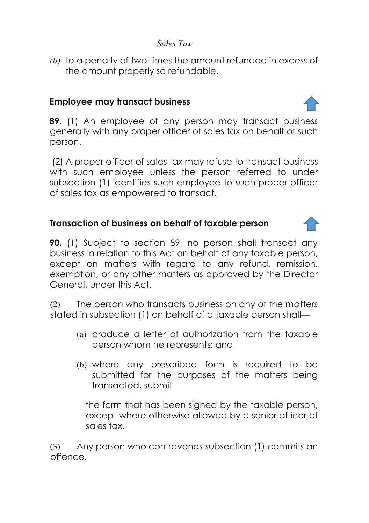*(b)* to a penalty of two times the amount refunded in excess of the amount properly so refundable.

# **Employee may transact business**

**89.** (1) An employee of any person may transact business generally with any proper officer of sales tax on behalf of such person.

 (2) A proper officer of sales tax may refuse to transact business with such employee unless the person referred to under subsection (1) identifies such employee to such proper officer of sales tax as empowered to transact.

# **Transaction of business on behalf of taxable person**

**90.** (1) Subject to section 89, no person shall transact any business in relation to this Act on behalf of any taxable person, except on matters with regard to any refund, remission, exemption, or any other matters as approved by the Director General, under this Act.

(2) The person who transacts business on any of the matters stated in subsection (1) on behalf of a taxable person shall—

- (a) produce a letter of authorization from the taxable person whom he represents; and
- (b) where any prescribed form is required to be submitted for the purposes of the matters being transacted, submit

the form that has been signed by the taxable person, except where otherwise allowed by a senior officer of sales tax.

(3) Any person who contravenes subsection (1) commits an offence.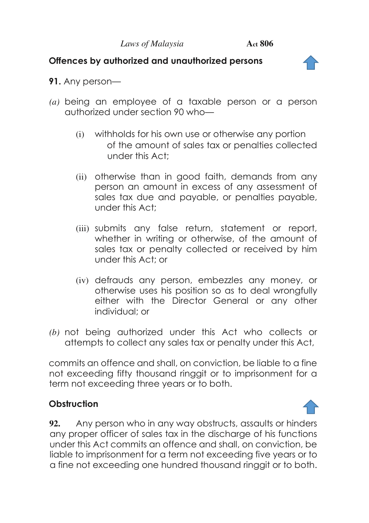## **Offences by authorized and unauthorized persons**



- **91.** Any person—
- *(a)* being an employee of a taxable person or a person authorized under section 90 who—
	- (i) withholds for his own use or otherwise any portion of the amount of sales tax or penalties collected under this Act;
	- (ii) otherwise than in good faith, demands from any person an amount in excess of any assessment of sales tax due and payable, or penalties payable, under this Act;
	- (iii) submits any false return, statement or report, whether in writing or otherwise, of the amount of sales tax or penalty collected or received by him under this Act; or
	- (iv) defrauds any person, embezzles any money, or otherwise uses his position so as to deal wrongfully either with the Director General or any other individual; or
- *(b)* not being authorized under this Act who collects or attempts to collect any sales tax or penalty under this Act,

commits an offence and shall, on conviction, be liable to a fine not exceeding fifty thousand ringgit or to imprisonment for a term not exceeding three years or to both.

# **Obstruction**

**92.** Any person who in any way obstructs, assaults or hinders any proper officer of sales tax in the discharge of his functions under this Act commits an offence and shall, on conviction, be liable to imprisonment for a term not exceeding five years or to a fine not exceeding one hundred thousand ringgit or to both.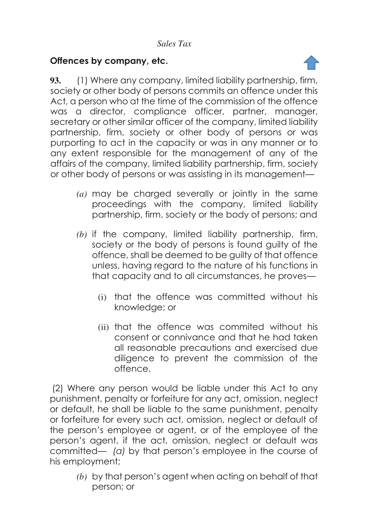# **Offences by company, etc.**



**93.** (1) Where any company, limited liability partnership, firm, society or other body of persons commits an offence under this Act, a person who at the time of the commission of the offence was a director, compliance officer, partner, manager, secretary or other similar officer of the company, limited liability partnership, firm, society or other body of persons or was purporting to act in the capacity or was in any manner or to any extent responsible for the management of any of the affairs of the company, limited liability partnership, firm, society or other body of persons or was assisting in its management—

- *(a)* may be charged severally or jointly in the same proceedings with the company, limited liability partnership, firm, society or the body of persons; and
- *(b)* if the company, limited liability partnership, firm, society or the body of persons is found guilty of the offence, shall be deemed to be guilty of that offence unless, having regard to the nature of his functions in that capacity and to all circumstances, he proves—
	- (i) that the offence was committed without his knowledge; or
	- (ii) that the offence was commited without his consent or connivance and that he had taken all reasonable precautions and exercised due diligence to prevent the commission of the offence.

 (2) Where any person would be liable under this Act to any punishment, penalty or forfeiture for any act, omission, neglect or default, he shall be liable to the same punishment, penalty or forfeiture for every such act, omission, neglect or default of the person's employee or agent, or of the employee of the person's agent, if the act, omission, neglect or default was committed— *(a)* by that person's employee in the course of his employment;

*(b)* by that person's agent when acting on behalf of that person; or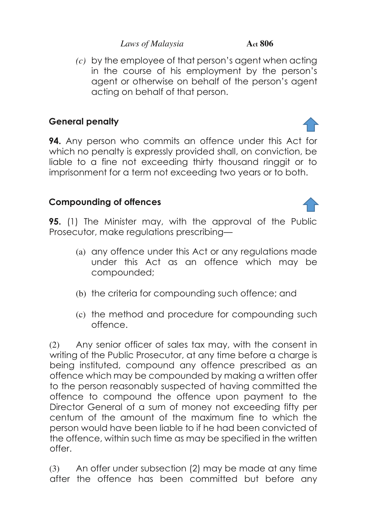*(c)* by the employee of that person's agent when acting in the course of his employment by the person's agent or otherwise on behalf of the person's agent acting on behalf of that person.

# **General penalty**

**94.** Any person who commits an offence under this Act for which no penalty is expressly provided shall, on conviction, be liable to a fine not exceeding thirty thousand ringgit or to imprisonment for a term not exceeding two years or to both.

# **Compounding of offences**

**95.** (1) The Minister may, with the approval of the Public Prosecutor, make regulations prescribing—

- (a) any offence under this Act or any regulations made under this Act as an offence which may be compounded;
- (b) the criteria for compounding such offence; and
- (c) the method and procedure for compounding such offence.

(2) Any senior officer of sales tax may, with the consent in writing of the Public Prosecutor, at any time before a charge is being instituted, compound any offence prescribed as an offence which may be compounded by making a written offer to the person reasonably suspected of having committed the offence to compound the offence upon payment to the Director General of a sum of money not exceeding fifty per centum of the amount of the maximum fine to which the person would have been liable to if he had been convicted of the offence, within such time as may be specified in the written offer.

(3) An offer under subsection (2) may be made at any time after the offence has been committed but before any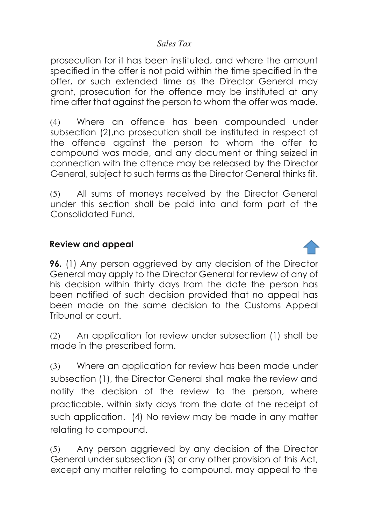prosecution for it has been instituted, and where the amount specified in the offer is not paid within the time specified in the offer, or such extended time as the Director General may grant, prosecution for the offence may be instituted at any time after that against the person to whom the offer was made.

(4) Where an offence has been compounded under subsection (2),no prosecution shall be instituted in respect of the offence against the person to whom the offer to compound was made, and any document or thing seized in connection with the offence may be released by the Director General, subject to such terms as the Director General thinks fit.

(5) All sums of moneys received by the Director General under this section shall be paid into and form part of the Consolidated Fund.

#### **Review and appeal**

**96.** (1) Any person aggrieved by any decision of the Director General may apply to the Director General for review of any of his decision within thirty days from the date the person has been notified of such decision provided that no appeal has been made on the same decision to the Customs Appeal Tribunal or court.

(2) An application for review under subsection (1) shall be made in the prescribed form.

(3) Where an application for review has been made under subsection (1), the Director General shall make the review and notify the decision of the review to the person, where practicable, within sixty days from the date of the receipt of such application. (4) No review may be made in any matter relating to compound.

(5) Any person aggrieved by any decision of the Director General under subsection (3) or any other provision of this Act, except any matter relating to compound, may appeal to the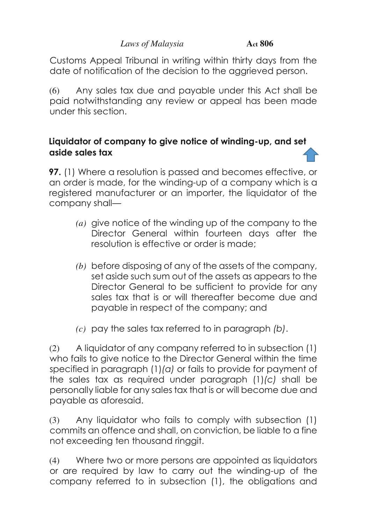Customs Appeal Tribunal in writing within thirty days from the date of notification of the decision to the aggrieved person.

(6) Any sales tax due and payable under this Act shall be paid notwithstanding any review or appeal has been made under this section.

# **Liquidator of company to give notice of winding-up, and set aside sales tax**

**97.** (1) Where a resolution is passed and becomes effective, or an order is made, for the winding-up of a company which is a registered manufacturer or an importer, the liquidator of the company shall—

- *(a)* give notice of the winding up of the company to the Director General within fourteen days after the resolution is effective or order is made;
- *(b)* before disposing of any of the assets of the company, set aside such sum out of the assets as appears to the Director General to be sufficient to provide for any sales tax that is or will thereafter become due and payable in respect of the company; and
- *(c)* pay the sales tax referred to in paragraph *(b)*.

(2) A liquidator of any company referred to in subsection (1) who fails to give notice to the Director General within the time specified in paragraph (1)*(a)* or fails to provide for payment of the sales tax as required under paragraph (1)*(c)* shall be personally liable for any sales tax that is or will become due and payable as aforesaid.

(3) Any liquidator who fails to comply with subsection (1) commits an offence and shall, on conviction, be liable to a fine not exceeding ten thousand ringgit.

(4) Where two or more persons are appointed as liquidators or are required by law to carry out the winding-up of the company referred to in subsection (1), the obligations and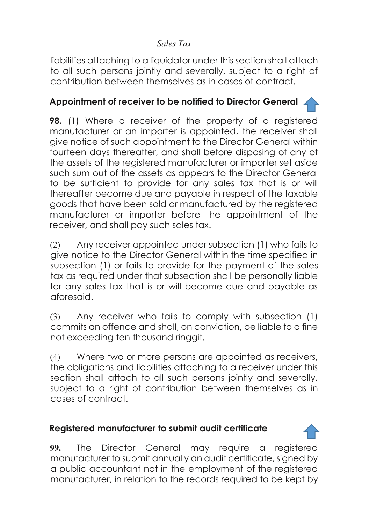liabilities attaching to a liquidator under this section shall attach to all such persons jointly and severally, subject to a right of contribution between themselves as in cases of contract.

# **Appointment of receiver to be notified to Director General**

**98.** (1) Where a receiver of the property of a registered manufacturer or an importer is appointed, the receiver shall give notice of such appointment to the Director General within fourteen days thereafter, and shall before disposing of any of the assets of the registered manufacturer or importer set aside such sum out of the assets as appears to the Director General to be sufficient to provide for any sales tax that is or will thereafter become due and payable in respect of the taxable goods that have been sold or manufactured by the registered manufacturer or importer before the appointment of the receiver, and shall pay such sales tax.

(2) Any receiver appointed under subsection (1) who fails to give notice to the Director General within the time specified in subsection (1) or fails to provide for the payment of the sales tax as required under that subsection shall be personally liable for any sales tax that is or will become due and payable as aforesaid.

(3) Any receiver who fails to comply with subsection (1) commits an offence and shall, on conviction, be liable to a fine not exceeding ten thousand ringgit.

(4) Where two or more persons are appointed as receivers, the obligations and liabilities attaching to a receiver under this section shall attach to all such persons jointly and severally, subject to a right of contribution between themselves as in cases of contract.

# **Registered manufacturer to submit audit certificate**

**99.** The Director General may require a registered manufacturer to submit annually an audit certificate, signed by a public accountant not in the employment of the registered manufacturer, in relation to the records required to be kept by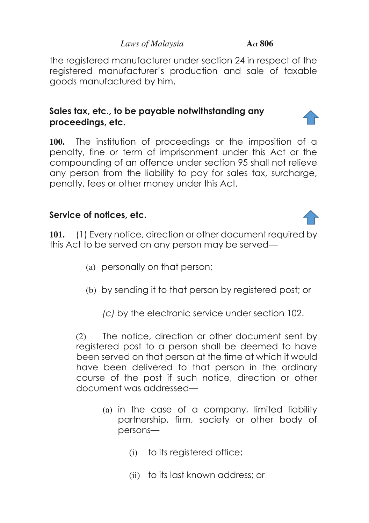the registered manufacturer under section 24 in respect of the registered manufacturer's production and sale of taxable goods manufactured by him.

# **Sales tax, etc., to be payable notwithstanding any proceedings, etc.**

**100.** The institution of proceedings or the imposition of a penalty, fine or term of imprisonment under this Act or the compounding of an offence under section 95 shall not relieve any person from the liability to pay for sales tax, surcharge, penalty, fees or other money under this Act.

# **Service of notices, etc.**

**101.** (1) Every notice, direction or other document required by this Act to be served on any person may be served—

- (a) personally on that person;
- (b) by sending it to that person by registered post; or

*(c)* by the electronic service under section 102.

(2) The notice, direction or other document sent by registered post to a person shall be deemed to have been served on that person at the time at which it would have been delivered to that person in the ordinary course of the post if such notice, direction or other document was addressed—

- (a) in the case of a company, limited liability partnership, firm, society or other body of persons—
	- (i) to its registered office;
	- (ii) to its last known address; or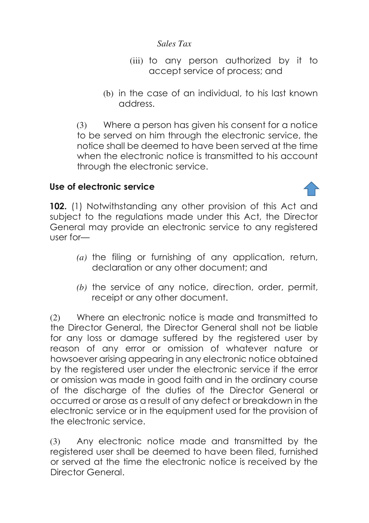- (iii) to any person authorized by it to accept service of process; and
- (b) in the case of an individual, to his last known address.

(3) Where a person has given his consent for a notice to be served on him through the electronic service, the notice shall be deemed to have been served at the time when the electronic notice is transmitted to his account through the electronic service.

#### **Use of electronic service**

**102.** (1) Notwithstanding any other provision of this Act and subject to the regulations made under this Act, the Director General may provide an electronic service to any registered user for—

- *(a)* the filing or furnishing of any application, return, declaration or any other document; and
- *(b)* the service of any notice, direction, order, permit, receipt or any other document.

(2) Where an electronic notice is made and transmitted to the Director General, the Director General shall not be liable for any loss or damage suffered by the registered user by reason of any error or omission of whatever nature or howsoever arising appearing in any electronic notice obtained by the registered user under the electronic service if the error or omission was made in good faith and in the ordinary course of the discharge of the duties of the Director General or occurred or arose as a result of any defect or breakdown in the electronic service or in the equipment used for the provision of the electronic service.

(3) Any electronic notice made and transmitted by the registered user shall be deemed to have been filed, furnished or served at the time the electronic notice is received by the Director General.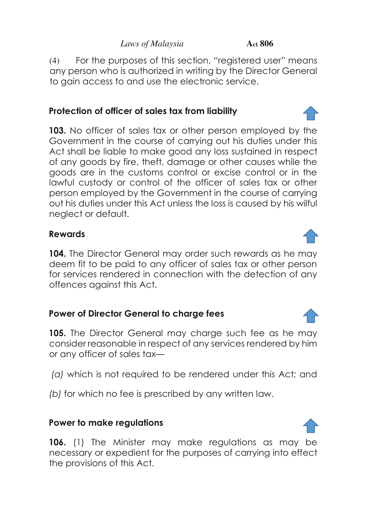(4) For the purposes of this section, "registered user" means any person who is authorized in writing by the Director General to gain access to and use the electronic service.

# **Protection of officer of sales tax from liability**

**103.** No officer of sales tax or other person employed by the Government in the course of carrying out his duties under this Act shall be liable to make good any loss sustained in respect of any goods by fire, theft, damage or other causes while the goods are in the customs control or excise control or in the lawful custody or control of the officer of sales tax or other person employed by the Government in the course of carrying out his duties under this Act unless the loss is caused by his wilful neglect or default.

#### **Rewards**

**104.** The Director General may order such rewards as he may deem fit to be paid to any officer of sales tax or other person for services rendered in connection with the detection of any offences against this Act.

# **Power of Director General to charge fees**

**105.** The Director General may charge such fee as he may consider reasonable in respect of any services rendered by him or any officer of sales tax—

 *(a)* which is not required to be rendered under this Act; and

*(b)* for which no fee is prescribed by any written law.

# **Power to make regulations**

**106.** (1) The Minister may make regulations as may be necessary or expedient for the purposes of carrying into effect the provisions of this Act.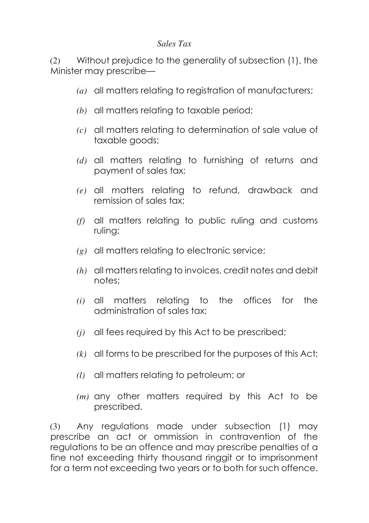(2) Without prejudice to the generality of subsection (1), the Minister may prescribe—

- *(a)* all matters relating to registration of manufacturers;
- *(b)* all matters relating to taxable period;
- *(c)* all matters relating to determination of sale value of taxable goods;
- *(d)* all matters relating to furnishing of returns and payment of sales tax;
- *(e)* all matters relating to refund, drawback and remission of sales tax;
- *(f)* all matters relating to public ruling and customs ruling;
- *(g)* all matters relating to electronic service;
- *(h)* all matters relating to invoices, credit notes and debit notes;
- *(i)* all matters relating to the offices for the administration of sales tax;
- *(j)* all fees required by this Act to be prescribed;
- *(k)* all forms to be prescribed for the purposes of this Act;
- *(l)* all matters relating to petroleum; or
- *(m)* any other matters required by this Act to be prescribed.

(3) Any regulations made under subsection (1) may prescribe an act or ommission in contravention of the regulations to be an offence and may prescribe penalties of a fine not exceeding thirty thousand ringgit or to imprisonment for a term not exceeding two years or to both for such offence.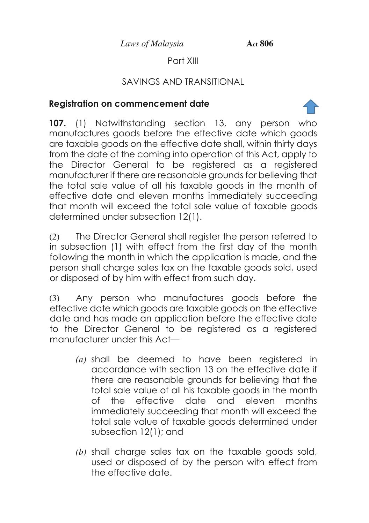# Part XIII

# SAVINGS AND TRANSITIONAL

# **Registration on commencement date**

**107.** (1) Notwithstanding section 13, any person who manufactures goods before the effective date which goods are taxable goods on the effective date shall, within thirty days from the date of the coming into operation of this Act, apply to the Director General to be registered as a registered manufacturer if there are reasonable grounds for believing that the total sale value of all his taxable goods in the month of effective date and eleven months immediately succeeding that month will exceed the total sale value of taxable goods determined under subsection 12(1).

(2) The Director General shall register the person referred to in subsection (1) with effect from the first day of the month following the month in which the application is made, and the person shall charge sales tax on the taxable goods sold, used or disposed of by him with effect from such day.

(3) Any person who manufactures goods before the effective date which goods are taxable goods on the effective date and has made an application before the effective date to the Director General to be registered as a registered manufacturer under this Act—

- *(a)* shall be deemed to have been registered in accordance with section 13 on the effective date if there are reasonable grounds for believing that the total sale value of all his taxable goods in the month of the effective date and eleven months immediately succeeding that month will exceed the total sale value of taxable goods determined under subsection 12(1); and
- *(b)* shall charge sales tax on the taxable goods sold, used or disposed of by the person with effect from the effective date.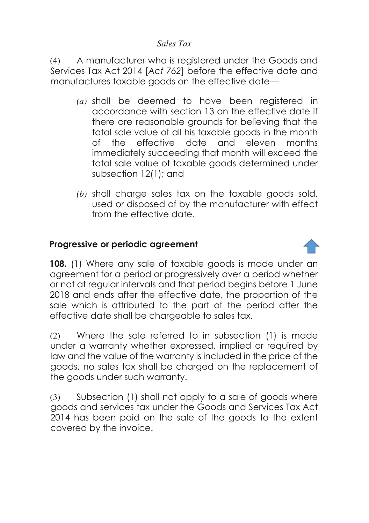(4) A manufacturer who is registered under the Goods and Services Tax Act 2014 [*Act 762*] before the effective date and manufactures taxable goods on the effective date—

- *(a)* shall be deemed to have been registered in accordance with section 13 on the effective date if there are reasonable grounds for believing that the total sale value of all his taxable goods in the month of the effective date and eleven months immediately succeeding that month will exceed the total sale value of taxable goods determined under subsection 12(1); and
- *(b)* shall charge sales tax on the taxable goods sold, used or disposed of by the manufacturer with effect from the effective date.

#### **Progressive or periodic agreement**

**108.** (1) Where any sale of taxable goods is made under an agreement for a period or progressively over a period whether or not at regular intervals and that period begins before 1 June 2018 and ends after the effective date, the proportion of the sale which is attributed to the part of the period after the effective date shall be chargeable to sales tax.

(2) Where the sale referred to in subsection (1) is made under a warranty whether expressed, implied or required by law and the value of the warranty is included in the price of the goods, no sales tax shall be charged on the replacement of the goods under such warranty.

(3) Subsection (1) shall not apply to a sale of goods where goods and services tax under the Goods and Services Tax Act 2014 has been paid on the sale of the goods to the extent covered by the invoice.